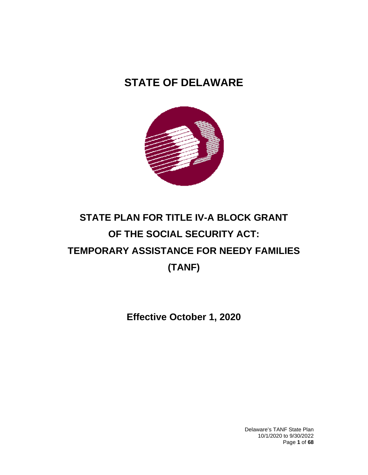# **STATE OF DELAWARE**



# **STATE PLAN FOR TITLE IV-A BLOCK GRANT OF THE SOCIAL SECURITY ACT: TEMPORARY ASSISTANCE FOR NEEDY FAMILIES (TANF)**

**Effective October 1, 2020**

Delaware's TANF State Plan 10/1/2020 to 9/30/2022 Page **1** of **68**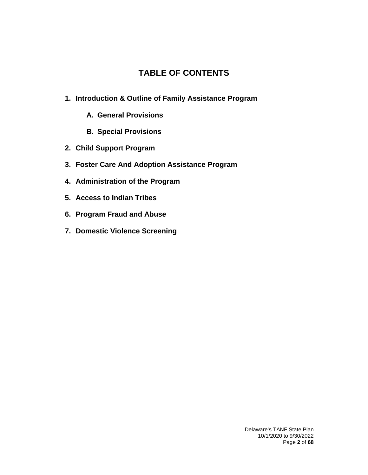## **TABLE OF CONTENTS**

- **1. Introduction & Outline of Family Assistance Program**
	- **A. General Provisions**
	- **B. Special Provisions**
- **2. Child Support Program**
- **3. Foster Care And Adoption Assistance Program**
- **4. Administration of the Program**
- **5. Access to Indian Tribes**
- **6. Program Fraud and Abuse**
- **7. Domestic Violence Screening**

Delaware's TANF State Plan 10/1/2020 to 9/30/2022 Page **2** of **68**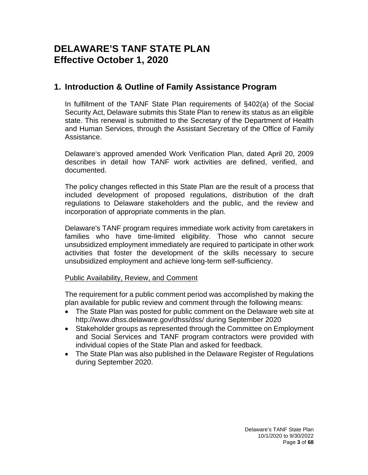## **DELAWARE'S TANF STATE PLAN Effective October 1, 2020**

## **1. Introduction & Outline of Family Assistance Program**

In fulfillment of the TANF State Plan requirements of §402(a) of the Social Security Act, Delaware submits this State Plan to renew its status as an eligible state. This renewal is submitted to the Secretary of the Department of Health and Human Services, through the Assistant Secretary of the Office of Family Assistance.

Delaware's approved amended Work Verification Plan, dated April 20, 2009 describes in detail how TANF work activities are defined, verified, and documented.

The policy changes reflected in this State Plan are the result of a process that included development of proposed regulations, distribution of the draft regulations to Delaware stakeholders and the public, and the review and incorporation of appropriate comments in the plan.

Delaware's TANF program requires immediate work activity from caretakers in families who have time-limited eligibility. Those who cannot secure unsubsidized employment immediately are required to participate in other work activities that foster the development of the skills necessary to secure unsubsidized employment and achieve long-term self-sufficiency.

#### Public Availability, Review, and Comment

The requirement for a public comment period was accomplished by making the plan available for public review and comment through the following means:

- The State Plan was posted for public comment on the Delaware web site at http://www.dhss.delaware.gov/dhss/dss/ during September 2020
- Stakeholder groups as represented through the Committee on Employment and Social Services and TANF program contractors were provided with individual copies of the State Plan and asked for feedback.
- The State Plan was also published in the Delaware Register of Regulations during September 2020.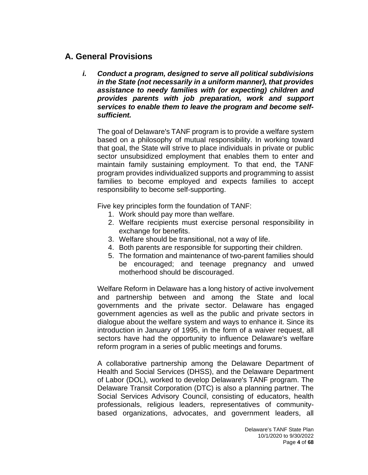## **A. General Provisions**

*i. Conduct a program, designed to serve all political subdivisions in the State (not necessarily in a uniform manner), that provides assistance to needy families with (or expecting) children and provides parents with job preparation, work and support services to enable them to leave the program and become selfsufficient.*

The goal of Delaware's TANF program is to provide a welfare system based on a philosophy of mutual responsibility. In working toward that goal, the State will strive to place individuals in private or public sector unsubsidized employment that enables them to enter and maintain family sustaining employment. To that end, the TANF program provides individualized supports and programming to assist families to become employed and expects families to accept responsibility to become self-supporting.

Five key principles form the foundation of TANF:

- 1. Work should pay more than welfare.
- 2. Welfare recipients must exercise personal responsibility in exchange for benefits.
- 3. Welfare should be transitional, not a way of life.
- 4. Both parents are responsible for supporting their children.
- 5. The formation and maintenance of two-parent families should be encouraged; and teenage pregnancy and unwed motherhood should be discouraged.

Welfare Reform in Delaware has a long history of active involvement and partnership between and among the State and local governments and the private sector. Delaware has engaged government agencies as well as the public and private sectors in dialogue about the welfare system and ways to enhance it. Since its introduction in January of 1995, in the form of a waiver request, all sectors have had the opportunity to influence Delaware's welfare reform program in a series of public meetings and forums.

A collaborative partnership among the Delaware Department of Health and Social Services (DHSS), and the Delaware Department of Labor (DOL), worked to develop Delaware's TANF program. The Delaware Transit Corporation (DTC) is also a planning partner. The Social Services Advisory Council, consisting of educators, health professionals, religious leaders, representatives of communitybased organizations, advocates, and government leaders, all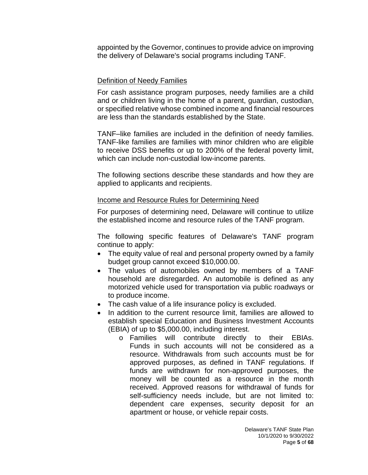appointed by the Governor, continues to provide advice on improving the delivery of Delaware's social programs including TANF.

#### Definition of Needy Families

For cash assistance program purposes, needy families are a child and or children living in the home of a parent, guardian, custodian, or specified relative whose combined income and financial resources are less than the standards established by the State.

TANF–like families are included in the definition of needy families. TANF-like families are families with minor children who are eligible to receive DSS benefits or up to 200% of the federal poverty limit, which can include non-custodial low-income parents.

The following sections describe these standards and how they are applied to applicants and recipients.

#### Income and Resource Rules for Determining Need

For purposes of determining need, Delaware will continue to utilize the established income and resource rules of the TANF program.

The following specific features of Delaware's TANF program continue to apply:

- The equity value of real and personal property owned by a family budget group cannot exceed \$10,000.00.
- The values of automobiles owned by members of a TANF household are disregarded. An automobile is defined as any motorized vehicle used for transportation via public roadways or to produce income.
- The cash value of a life insurance policy is excluded.
- In addition to the current resource limit, families are allowed to establish special Education and Business Investment Accounts (EBIA) of up to \$5,000.00, including interest.
	- o Families will contribute directly to their EBIAs. Funds in such accounts will not be considered as a resource. Withdrawals from such accounts must be for approved purposes, as defined in TANF regulations. If funds are withdrawn for non-approved purposes, the money will be counted as a resource in the month received. Approved reasons for withdrawal of funds for self-sufficiency needs include, but are not limited to: dependent care expenses, security deposit for an apartment or house, or vehicle repair costs.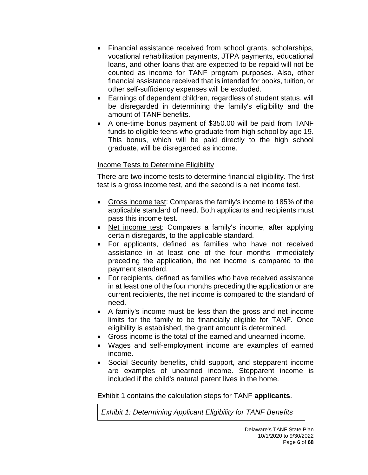- Financial assistance received from school grants, scholarships, vocational rehabilitation payments, JTPA payments, educational loans, and other loans that are expected to be repaid will not be counted as income for TANF program purposes. Also, other financial assistance received that is intended for books, tuition, or other self-sufficiency expenses will be excluded.
- Earnings of dependent children, regardless of student status, will be disregarded in determining the family's eligibility and the amount of TANF benefits.
- A one-time bonus payment of \$350.00 will be paid from TANF funds to eligible teens who graduate from high school by age 19. This bonus, which will be paid directly to the high school graduate, will be disregarded as income.

### **Income Tests to Determine Eligibility**

There are two income tests to determine financial eligibility. The first test is a gross income test, and the second is a net income test.

- Gross income test: Compares the family's income to 185% of the applicable standard of need. Both applicants and recipients must pass this income test.
- Net income test: Compares a family's income, after applying certain disregards, to the applicable standard.
- For applicants, defined as families who have not received assistance in at least one of the four months immediately preceding the application, the net income is compared to the payment standard.
- For recipients, defined as families who have received assistance in at least one of the four months preceding the application or are current recipients, the net income is compared to the standard of need.
- A family's income must be less than the gross and net income limits for the family to be financially eligible for TANF. Once eligibility is established, the grant amount is determined.
- Gross income is the total of the earned and unearned income.
- Wages and self-employment income are examples of earned income.
- Social Security benefits, child support, and stepparent income are examples of unearned income. Stepparent income is included if the child's natural parent lives in the home.

Exhibit 1 contains the calculation steps for TANF **applicants**.

*Exhibit 1: Determining Applicant Eligibility for TANF Benefits*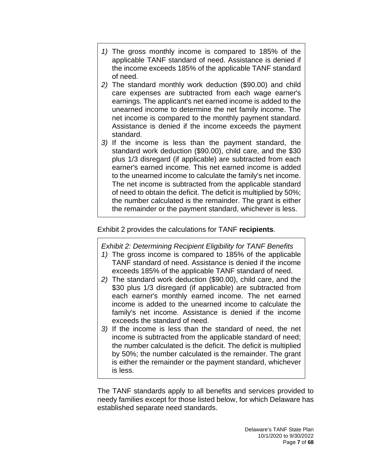- *1)* The gross monthly income is compared to 185% of the applicable TANF standard of need. Assistance is denied if the income exceeds 185% of the applicable TANF standard of need.
- *2)* The standard monthly work deduction (\$90.00) and child care expenses are subtracted from each wage earner's earnings. The applicant's net earned income is added to the unearned income to determine the net family income. The net income is compared to the monthly payment standard. Assistance is denied if the income exceeds the payment standard.
- *3)* If the income is less than the payment standard, the standard work deduction (\$90.00), child care, and the \$30 plus 1/3 disregard (if applicable) are subtracted from each earner's earned income. This net earned income is added to the unearned income to calculate the family's net income. The net income is subtracted from the applicable standard of need to obtain the deficit. The deficit is multiplied by 50%; the number calculated is the remainder. The grant is either the remainder or the payment standard, whichever is less.

Exhibit 2 provides the calculations for TANF **recipients**.

*Exhibit 2: Determining Recipient Eligibility for TANF Benefits*

- *1)* The gross income is compared to 185% of the applicable TANF standard of need. Assistance is denied if the income exceeds 185% of the applicable TANF standard of need.
- *2)* The standard work deduction (\$90.00), child care, and the \$30 plus 1/3 disregard (if applicable) are subtracted from each earner's monthly earned income. The net earned income is added to the unearned income to calculate the family's net income. Assistance is denied if the income exceeds the standard of need.
- *3)* If the income is less than the standard of need, the net income is subtracted from the applicable standard of need; the number calculated is the deficit. The deficit is multiplied by 50%; the number calculated is the remainder. The grant is either the remainder or the payment standard, whichever is less.

The TANF standards apply to all benefits and services provided to needy families except for those listed below, for which Delaware has established separate need standards.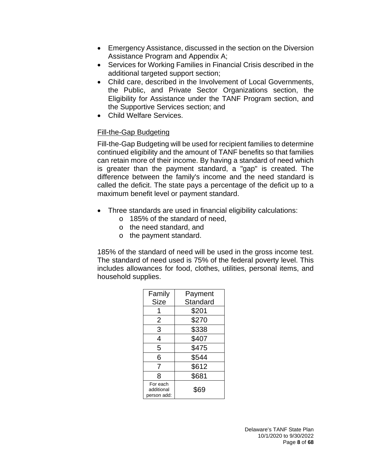- Emergency Assistance, discussed in the section on the Diversion Assistance Program and Appendix A;
- Services for Working Families in Financial Crisis described in the additional targeted support section;
- Child care, described in the Involvement of Local Governments, the Public, and Private Sector Organizations section, the Eligibility for Assistance under the TANF Program section, and the Supportive Services section; and
- Child Welfare Services.

#### Fill-the-Gap Budgeting

Fill-the-Gap Budgeting will be used for recipient families to determine continued eligibility and the amount of TANF benefits so that families can retain more of their income. By having a standard of need which is greater than the payment standard, a "gap" is created. The difference between the family's income and the need standard is called the deficit. The state pays a percentage of the deficit up to a maximum benefit level or payment standard.

- Three standards are used in financial eligibility calculations:
	- o 185% of the standard of need,
	- o the need standard, and
	- o the payment standard.

185% of the standard of need will be used in the gross income test. The standard of need used is 75% of the federal poverty level. This includes allowances for food, clothes, utilities, personal items, and household supplies.

| Family                                | Payment  |
|---------------------------------------|----------|
| <b>Size</b>                           | Standard |
|                                       | \$201    |
| 2                                     | \$270    |
| 3                                     | \$338    |
| 4                                     | \$407    |
| 5                                     | \$475    |
| 6                                     | \$544    |
| 7                                     | \$612    |
| 8                                     | \$681    |
| For each<br>additional<br>person add: | \$69     |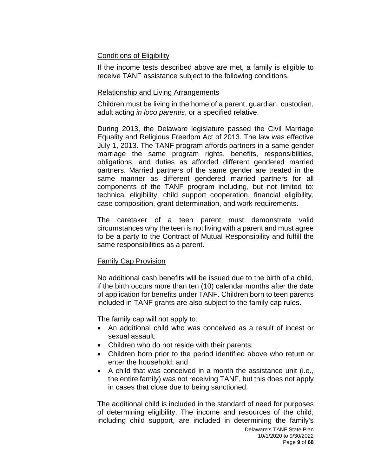#### Conditions of Eligibility

If the income tests described above are met, a family is eligible to receive TANF assistance subject to the following conditions.

#### Relationship and Living Arrangements

Children must be living in the home of a parent, guardian, custodian, adult acting *in loco parentis*, or a specified relative.

During 2013, the Delaware legislature passed the Civil Marriage Equality and Religious Freedom Act of 2013. The law was effective July 1, 2013. The TANF program affords partners in a same gender marriage the same program rights, benefits, responsibilities, obligations, and duties as afforded different gendered married partners. Married partners of the same gender are treated in the same manner as different gendered married partners for all components of the TANF program including, but not limited to: technical eligibility, child support cooperation, financial eligibility, case composition, grant determination, and work requirements.

The caretaker of a teen parent must demonstrate valid circumstances why the teen is not living with a parent and must agree to be a party to the Contract of Mutual Responsibility and fulfill the same responsibilities as a parent.

#### Family Cap Provision

No additional cash benefits will be issued due to the birth of a child, if the birth occurs more than ten (10) calendar months after the date of application for benefits under TANF. Children born to teen parents included in TANF grants are also subject to the family cap rules.

The family cap will not apply to:

- An additional child who was conceived as a result of incest or sexual assault;
- Children who do not reside with their parents;
- Children born prior to the period identified above who return or enter the household; and
- A child that was conceived in a month the assistance unit (i.e., the entire family) was not receiving TANF, but this does not apply in cases that close due to being sanctioned.

The additional child is included in the standard of need for purposes of determining eligibility. The income and resources of the child, including child support, are included in determining the family's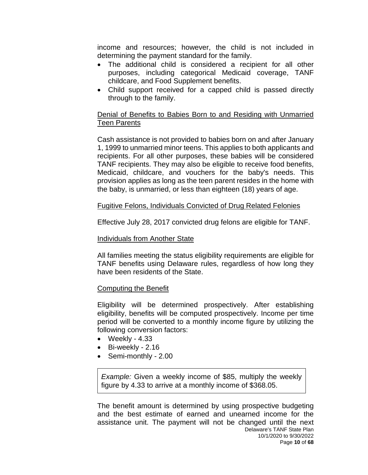income and resources; however, the child is not included in determining the payment standard for the family.

- The additional child is considered a recipient for all other purposes, including categorical Medicaid coverage, TANF childcare, and Food Supplement benefits.
- Child support received for a capped child is passed directly through to the family.

### Denial of Benefits to Babies Born to and Residing with Unmarried Teen Parents

Cash assistance is not provided to babies born on and after January 1, 1999 to unmarried minor teens. This applies to both applicants and recipients. For all other purposes, these babies will be considered TANF recipients. They may also be eligible to receive food benefits, Medicaid, childcare, and vouchers for the baby's needs. This provision applies as long as the teen parent resides in the home with the baby, is unmarried, or less than eighteen (18) years of age.

#### Fugitive Felons, Individuals Convicted of Drug Related Felonies

Effective July 28, 2017 convicted drug felons are eligible for TANF.

#### Individuals from Another State

All families meeting the status eligibility requirements are eligible for TANF benefits using Delaware rules, regardless of how long they have been residents of the State.

#### Computing the Benefit

Eligibility will be determined prospectively. After establishing eligibility, benefits will be computed prospectively. Income per time period will be converted to a monthly income figure by utilizing the following conversion factors:

- $\bullet$  Weekly 4.33
- Bi-weekly 2.16
- Semi-monthly 2.00

*Example:* Given a weekly income of \$85, multiply the weekly figure by 4.33 to arrive at a monthly income of \$368.05.

Delaware's TANF State Plan 10/1/2020 to 9/30/2022 Page **10** of **68** The benefit amount is determined by using prospective budgeting and the best estimate of earned and unearned income for the assistance unit. The payment will not be changed until the next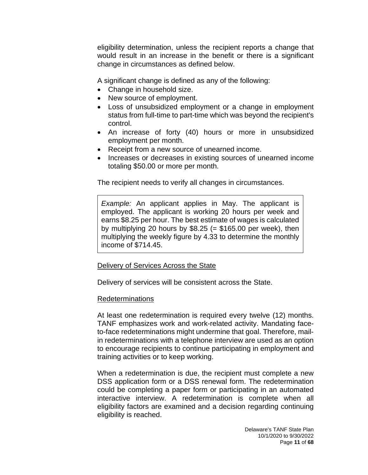eligibility determination, unless the recipient reports a change that would result in an increase in the benefit or there is a significant change in circumstances as defined below.

A significant change is defined as any of the following:

- Change in household size.
- New source of employment.
- Loss of unsubsidized employment or a change in employment status from full-time to part-time which was beyond the recipient's control.
- An increase of forty (40) hours or more in unsubsidized employment per month.
- Receipt from a new source of unearned income.
- Increases or decreases in existing sources of unearned income totaling \$50.00 or more per month.

The recipient needs to verify all changes in circumstances.

*Example:* An applicant applies in May. The applicant is employed. The applicant is working 20 hours per week and earns \$8.25 per hour. The best estimate of wages is calculated by multiplying 20 hours by  $$8.25 (= $165.00$  per week), then multiplying the weekly figure by 4.33 to determine the monthly income of \$714.45.

#### Delivery of Services Across the State

Delivery of services will be consistent across the State.

#### Redeterminations

At least one redetermination is required every twelve (12) months. TANF emphasizes work and work-related activity. Mandating faceto-face redeterminations might undermine that goal. Therefore, mailin redeterminations with a telephone interview are used as an option to encourage recipients to continue participating in employment and training activities or to keep working.

When a redetermination is due, the recipient must complete a new DSS application form or a DSS renewal form. The redetermination could be completing a paper form or participating in an automated interactive interview. A redetermination is complete when all eligibility factors are examined and a decision regarding continuing eligibility is reached.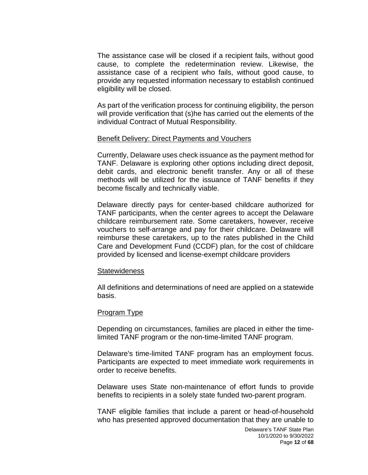The assistance case will be closed if a recipient fails, without good cause, to complete the redetermination review. Likewise, the assistance case of a recipient who fails, without good cause, to provide any requested information necessary to establish continued eligibility will be closed.

As part of the verification process for continuing eligibility, the person will provide verification that (s)he has carried out the elements of the individual Contract of Mutual Responsibility.

#### Benefit Delivery: Direct Payments and Vouchers

Currently, Delaware uses check issuance as the payment method for TANF. Delaware is exploring other options including direct deposit, debit cards, and electronic benefit transfer. Any or all of these methods will be utilized for the issuance of TANF benefits if they become fiscally and technically viable.

Delaware directly pays for center-based childcare authorized for TANF participants, when the center agrees to accept the Delaware childcare reimbursement rate. Some caretakers, however, receive vouchers to self-arrange and pay for their childcare. Delaware will reimburse these caretakers, up to the rates published in the Child Care and Development Fund (CCDF) plan, for the cost of childcare provided by licensed and license-exempt childcare providers

#### **Statewideness**

All definitions and determinations of need are applied on a statewide basis.

#### Program Type

Depending on circumstances, families are placed in either the timelimited TANF program or the non-time-limited TANF program.

Delaware's time-limited TANF program has an employment focus. Participants are expected to meet immediate work requirements in order to receive benefits.

Delaware uses State non-maintenance of effort funds to provide benefits to recipients in a solely state funded two-parent program.

TANF eligible families that include a parent or head-of-household who has presented approved documentation that they are unable to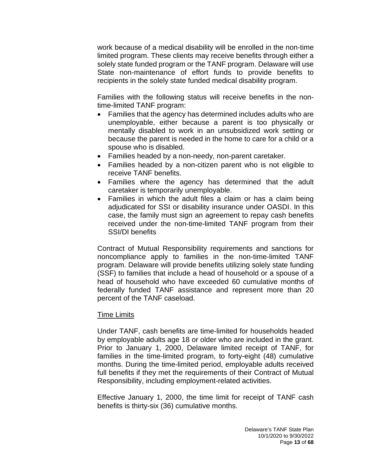work because of a medical disability will be enrolled in the non-time limited program. These clients may receive benefits through either a solely state funded program or the TANF program. Delaware will use State non-maintenance of effort funds to provide benefits to recipients in the solely state funded medical disability program.

Families with the following status will receive benefits in the nontime-limited TANF program:

- Families that the agency has determined includes adults who are unemployable, either because a parent is too physically or mentally disabled to work in an unsubsidized work setting or because the parent is needed in the home to care for a child or a spouse who is disabled.
- Families headed by a non-needy, non-parent caretaker.
- Families headed by a non-citizen parent who is not eligible to receive TANF benefits.
- Families where the agency has determined that the adult caretaker is temporarily unemployable.
- Families in which the adult files a claim or has a claim being adjudicated for SSI or disability insurance under OASDI. In this case, the family must sign an agreement to repay cash benefits received under the non-time-limited TANF program from their SSI/DI benefits

Contract of Mutual Responsibility requirements and sanctions for noncompliance apply to families in the non-time-limited TANF program. Delaware will provide benefits utilizing solely state funding (SSF) to families that include a head of household or a spouse of a head of household who have exceeded 60 cumulative months of federally funded TANF assistance and represent more than 20 percent of the TANF caseload.

#### Time Limits

Under TANF, cash benefits are time-limited for households headed by employable adults age 18 or older who are included in the grant. Prior to January 1, 2000, Delaware limited receipt of TANF, for families in the time-limited program, to forty-eight (48) cumulative months. During the time-limited period, employable adults received full benefits if they met the requirements of their Contract of Mutual Responsibility, including employment-related activities.

Effective January 1, 2000, the time limit for receipt of TANF cash benefits is thirty-six (36) cumulative months.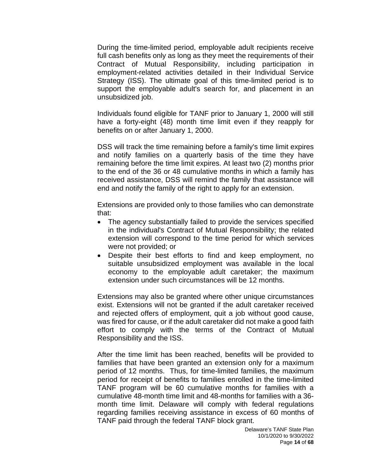During the time-limited period, employable adult recipients receive full cash benefits only as long as they meet the requirements of their Contract of Mutual Responsibility, including participation in employment-related activities detailed in their Individual Service Strategy (ISS). The ultimate goal of this time-limited period is to support the employable adult's search for, and placement in an unsubsidized job.

Individuals found eligible for TANF prior to January 1, 2000 will still have a forty-eight (48) month time limit even if they reapply for benefits on or after January 1, 2000.

DSS will track the time remaining before a family's time limit expires and notify families on a quarterly basis of the time they have remaining before the time limit expires. At least two (2) months prior to the end of the 36 or 48 cumulative months in which a family has received assistance, DSS will remind the family that assistance will end and notify the family of the right to apply for an extension.

Extensions are provided only to those families who can demonstrate that:

- The agency substantially failed to provide the services specified in the individual's Contract of Mutual Responsibility; the related extension will correspond to the time period for which services were not provided; or
- Despite their best efforts to find and keep employment, no suitable unsubsidized employment was available in the local economy to the employable adult caretaker; the maximum extension under such circumstances will be 12 months.

Extensions may also be granted where other unique circumstances exist. Extensions will not be granted if the adult caretaker received and rejected offers of employment, quit a job without good cause, was fired for cause, or if the adult caretaker did not make a good faith effort to comply with the terms of the Contract of Mutual Responsibility and the ISS.

After the time limit has been reached, benefits will be provided to families that have been granted an extension only for a maximum period of 12 months. Thus, for time-limited families, the maximum period for receipt of benefits to families enrolled in the time-limited TANF program will be 60 cumulative months for families with a cumulative 48-month time limit and 48-months for families with a 36 month time limit. Delaware will comply with federal regulations regarding families receiving assistance in excess of 60 months of TANF paid through the federal TANF block grant.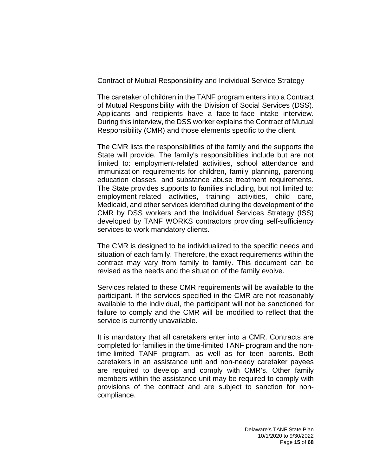#### Contract of Mutual Responsibility and Individual Service Strategy

The caretaker of children in the TANF program enters into a Contract of Mutual Responsibility with the Division of Social Services (DSS). Applicants and recipients have a face-to-face intake interview. During this interview, the DSS worker explains the Contract of Mutual Responsibility (CMR) and those elements specific to the client.

The CMR lists the responsibilities of the family and the supports the State will provide. The family's responsibilities include but are not limited to: employment-related activities, school attendance and immunization requirements for children, family planning, parenting education classes, and substance abuse treatment requirements. The State provides supports to families including, but not limited to: employment-related activities, training activities, child care, Medicaid, and other services identified during the development of the CMR by DSS workers and the Individual Services Strategy (ISS) developed by TANF WORKS contractors providing self-sufficiency services to work mandatory clients.

The CMR is designed to be individualized to the specific needs and situation of each family. Therefore, the exact requirements within the contract may vary from family to family. This document can be revised as the needs and the situation of the family evolve.

Services related to these CMR requirements will be available to the participant. If the services specified in the CMR are not reasonably available to the individual, the participant will not be sanctioned for failure to comply and the CMR will be modified to reflect that the service is currently unavailable.

It is mandatory that all caretakers enter into a CMR. Contracts are completed for families in the time-limited TANF program and the nontime-limited TANF program, as well as for teen parents. Both caretakers in an assistance unit and non-needy caretaker payees are required to develop and comply with CMR's. Other family members within the assistance unit may be required to comply with provisions of the contract and are subject to sanction for noncompliance.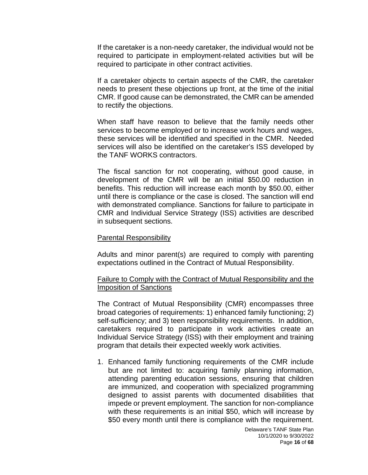If the caretaker is a non-needy caretaker, the individual would not be required to participate in employment-related activities but will be required to participate in other contract activities.

If a caretaker objects to certain aspects of the CMR, the caretaker needs to present these objections up front, at the time of the initial CMR. If good cause can be demonstrated, the CMR can be amended to rectify the objections.

When staff have reason to believe that the family needs other services to become employed or to increase work hours and wages, these services will be identified and specified in the CMR. Needed services will also be identified on the caretaker's ISS developed by the TANF WORKS contractors.

The fiscal sanction for not cooperating, without good cause, in development of the CMR will be an initial \$50.00 reduction in benefits. This reduction will increase each month by \$50.00, either until there is compliance or the case is closed. The sanction will end with demonstrated compliance. Sanctions for failure to participate in CMR and Individual Service Strategy (ISS) activities are described in subsequent sections.

#### Parental Responsibility

Adults and minor parent(s) are required to comply with parenting expectations outlined in the Contract of Mutual Responsibility.

#### Failure to Comply with the Contract of Mutual Responsibility and the Imposition of Sanctions

The Contract of Mutual Responsibility (CMR) encompasses three broad categories of requirements: 1) enhanced family functioning; 2) self-sufficiency; and 3) teen responsibility requirements. In addition, caretakers required to participate in work activities create an Individual Service Strategy (ISS) with their employment and training program that details their expected weekly work activities.

1. Enhanced family functioning requirements of the CMR include but are not limited to: acquiring family planning information, attending parenting education sessions, ensuring that children are immunized, and cooperation with specialized programming designed to assist parents with documented disabilities that impede or prevent employment. The sanction for non-compliance with these requirements is an initial \$50, which will increase by \$50 every month until there is compliance with the requirement.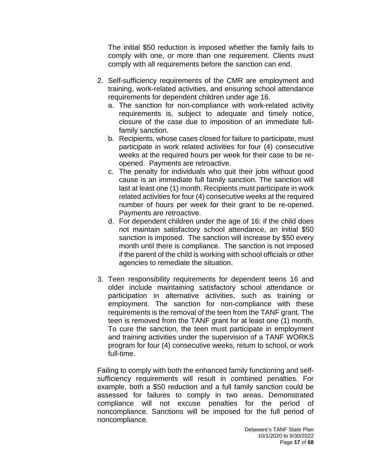The initial \$50 reduction is imposed whether the family fails to comply with one, or more than one requirement. Clients must comply with all requirements before the sanction can end.

- 2. Self-sufficiency requirements of the CMR are employment and training, work-related activities, and ensuring school attendance requirements for dependent children under age 16.
	- a. The sanction for non-compliance with work-related activity requirements is, subject to adequate and timely notice, closure of the case due to imposition of an immediate fullfamily sanction.
	- b. Recipients, whose cases closed for failure to participate, must participate in work related activities for four (4) consecutive weeks at the required hours per week for their case to be reopened. Payments are retroactive.
	- c. The penalty for individuals who quit their jobs without good cause is an immediate full family sanction. The sanction will last at least one (1) month. Recipients must participate in work related activities for four (4) consecutive weeks at the required number of hours per week for their grant to be re-opened. Payments are retroactive.
	- d. For dependent children under the age of 16: if the child does not maintain satisfactory school attendance, an initial \$50 sanction is imposed. The sanction will increase by \$50 every month until there is compliance. The sanction is not imposed if the parent of the child is working with school officials or other agencies to remediate the situation.
- 3. Teen responsibility requirements for dependent teens 16 and older include maintaining satisfactory school attendance or participation in alternative activities, such as training or employment. The sanction for non-compliance with these requirements is the removal of the teen from the TANF grant. The teen is removed from the TANF grant for at least one (1) month. To cure the sanction, the teen must participate in employment and training activities under the supervision of a TANF WORKS program for four (4) consecutive weeks, return to school, or work full-time.

Failing to comply with both the enhanced family functioning and selfsufficiency requirements will result in combined penalties. For example, both a \$50 reduction and a full family sanction could be assessed for failures to comply in two areas. Demonstrated compliance will not excuse penalties for the period of noncompliance. Sanctions will be imposed for the full period of noncompliance.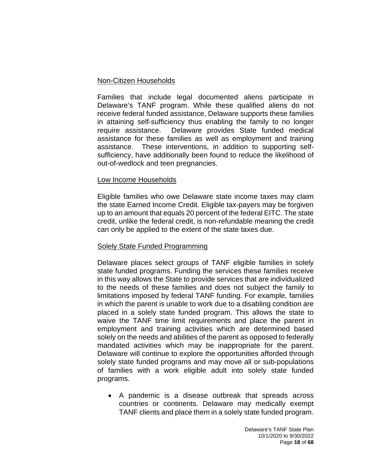#### Non-Citizen Households

Families that include legal documented aliens participate in Delaware's TANF program. While these qualified aliens do not receive federal funded assistance, Delaware supports these families in attaining self-sufficiency thus enabling the family to no longer require assistance. Delaware provides State funded medical assistance for these families as well as employment and training assistance. These interventions, in addition to supporting selfsufficiency, have additionally been found to reduce the likelihood of out-of-wedlock and teen pregnancies.

#### Low Income Households

Eligible families who owe Delaware state income taxes may claim the state Earned Income Credit. Eligible tax-payers may be forgiven up to an amount that equals 20 percent of the federal EITC. The state credit, unlike the federal credit, is non-refundable meaning the credit can only be applied to the extent of the state taxes due.

#### Solely State Funded Programming

Delaware places select groups of TANF eligible families in solely state funded programs. Funding the services these families receive in this way allows the State to provide services that are individualized to the needs of these families and does not subject the family to limitations imposed by federal TANF funding. For example, families in which the parent is unable to work due to a disabling condition are placed in a solely state funded program. This allows the state to waive the TANF time limit requirements and place the parent in employment and training activities which are determined based solely on the needs and abilities of the parent as opposed to federally mandated activities which may be inappropriate for the parent. Delaware will continue to explore the opportunities afforded through solely state funded programs and may move all or sub-populations of families with a work eligible adult into solely state funded programs.

• A pandemic is a disease outbreak that spreads across countries or continents. Delaware may medically exempt TANF clients and place them in a solely state funded program.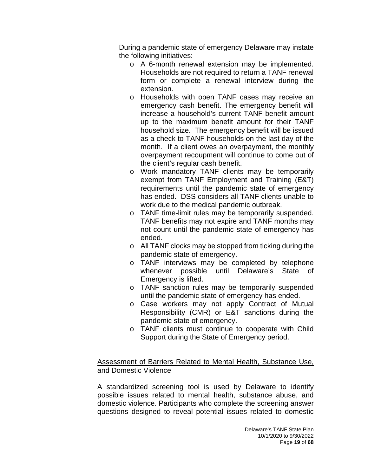During a pandemic state of emergency Delaware may instate the following initiatives:

- o A 6-month renewal extension may be implemented. Households are not required to return a TANF renewal form or complete a renewal interview during the extension.
- o Households with open TANF cases may receive an emergency cash benefit. The emergency benefit will increase a household's current TANF benefit amount up to the maximum benefit amount for their TANF household size. The emergency benefit will be issued as a check to TANF households on the last day of the month. If a client owes an overpayment, the monthly overpayment recoupment will continue to come out of the client's regular cash benefit.
- o Work mandatory TANF clients may be temporarily exempt from TANF Employment and Training (E&T) requirements until the pandemic state of emergency has ended. DSS considers all TANF clients unable to work due to the medical pandemic outbreak.
- o TANF time-limit rules may be temporarily suspended. TANF benefits may not expire and TANF months may not count until the pandemic state of emergency has ended.
- o All TANF clocks may be stopped from ticking during the pandemic state of emergency.
- o TANF interviews may be completed by telephone<br>whenever possible until Delaware's State of whenever possible until Delaware's State Emergency is lifted.
- o TANF sanction rules may be temporarily suspended until the pandemic state of emergency has ended.
- o Case workers may not apply Contract of Mutual Responsibility (CMR) or E&T sanctions during the pandemic state of emergency.
- o TANF clients must continue to cooperate with Child Support during the State of Emergency period.

#### Assessment of Barriers Related to Mental Health, Substance Use, and Domestic Violence

A standardized screening tool is used by Delaware to identify possible issues related to mental health, substance abuse, and domestic violence. Participants who complete the screening answer questions designed to reveal potential issues related to domestic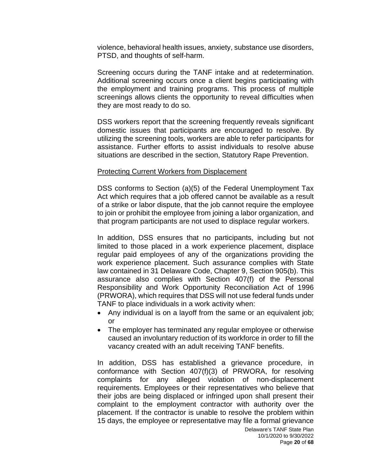violence, behavioral health issues, anxiety, substance use disorders, PTSD, and thoughts of self-harm.

Screening occurs during the TANF intake and at redetermination. Additional screening occurs once a client begins participating with the employment and training programs. This process of multiple screenings allows clients the opportunity to reveal difficulties when they are most ready to do so.

DSS workers report that the screening frequently reveals significant domestic issues that participants are encouraged to resolve. By utilizing the screening tools, workers are able to refer participants for assistance. Further efforts to assist individuals to resolve abuse situations are described in the section, Statutory Rape Prevention.

#### Protecting Current Workers from Displacement

DSS conforms to Section (a)(5) of the Federal Unemployment Tax Act which requires that a job offered cannot be available as a result of a strike or labor dispute, that the job cannot require the employee to join or prohibit the employee from joining a labor organization, and that program participants are not used to displace regular workers.

In addition, DSS ensures that no participants, including but not limited to those placed in a work experience placement, displace regular paid employees of any of the organizations providing the work experience placement. Such assurance complies with State law contained in 31 Delaware Code, Chapter 9, Section 905(b). This assurance also complies with Section 407(f) of the Personal Responsibility and Work Opportunity Reconciliation Act of 1996 (PRWORA), which requires that DSS will not use federal funds under TANF to place individuals in a work activity when:

- Any individual is on a layoff from the same or an equivalent job; or
- The employer has terminated any regular employee or otherwise caused an involuntary reduction of its workforce in order to fill the vacancy created with an adult receiving TANF benefits.

In addition, DSS has established a grievance procedure, in conformance with Section 407(f)(3) of PRWORA, for resolving complaints for any alleged violation of non-displacement requirements. Employees or their representatives who believe that their jobs are being displaced or infringed upon shall present their complaint to the employment contractor with authority over the placement. If the contractor is unable to resolve the problem within 15 days, the employee or representative may file a formal grievance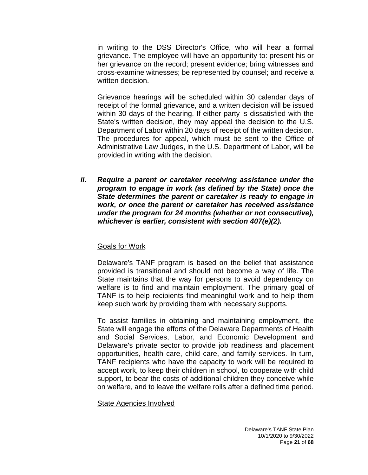in writing to the DSS Director's Office, who will hear a formal grievance. The employee will have an opportunity to: present his or her grievance on the record; present evidence; bring witnesses and cross-examine witnesses; be represented by counsel; and receive a written decision.

Grievance hearings will be scheduled within 30 calendar days of receipt of the formal grievance, and a written decision will be issued within 30 days of the hearing. If either party is dissatisfied with the State's written decision, they may appeal the decision to the U.S. Department of Labor within 20 days of receipt of the written decision. The procedures for appeal, which must be sent to the Office of Administrative Law Judges, in the U.S. Department of Labor, will be provided in writing with the decision.

*ii. Require a parent or caretaker receiving assistance under the program to engage in work (as defined by the State) once the State determines the parent or caretaker is ready to engage in work, or once the parent or caretaker has received assistance under the program for 24 months (whether or not consecutive), whichever is earlier, consistent with section 407(e)(2).*

#### Goals for Work

Delaware's TANF program is based on the belief that assistance provided is transitional and should not become a way of life. The State maintains that the way for persons to avoid dependency on welfare is to find and maintain employment. The primary goal of TANF is to help recipients find meaningful work and to help them keep such work by providing them with necessary supports.

To assist families in obtaining and maintaining employment, the State will engage the efforts of the Delaware Departments of Health and Social Services, Labor, and Economic Development and Delaware's private sector to provide job readiness and placement opportunities, health care, child care, and family services. In turn, TANF recipients who have the capacity to work will be required to accept work, to keep their children in school, to cooperate with child support, to bear the costs of additional children they conceive while on welfare, and to leave the welfare rolls after a defined time period.

#### State Agencies Involved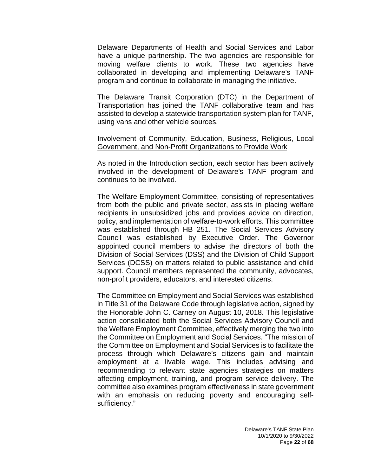Delaware Departments of Health and Social Services and Labor have a unique partnership. The two agencies are responsible for moving welfare clients to work. These two agencies have collaborated in developing and implementing Delaware's TANF program and continue to collaborate in managing the initiative.

The Delaware Transit Corporation (DTC) in the Department of Transportation has joined the TANF collaborative team and has assisted to develop a statewide transportation system plan for TANF, using vans and other vehicle sources.

#### Involvement of Community, Education, Business, Religious, Local Government, and Non-Profit Organizations to Provide Work

As noted in the Introduction section, each sector has been actively involved in the development of Delaware's TANF program and continues to be involved.

The Welfare Employment Committee, consisting of representatives from both the public and private sector, assists in placing welfare recipients in unsubsidized jobs and provides advice on direction, policy, and implementation of welfare-to-work efforts. This committee was established through HB 251. The Social Services Advisory Council was established by Executive Order. The Governor appointed council members to advise the directors of both the Division of Social Services (DSS) and the Division of Child Support Services (DCSS) on matters related to public assistance and child support. Council members represented the community, advocates, non-profit providers, educators, and interested citizens.

The Committee on Employment and Social Services was established in Title 31 of the Delaware Code through legislative action, signed by the Honorable John C. Carney on August 10, 2018. This legislative action consolidated both the Social Services Advisory Council and the Welfare Employment Committee, effectively merging the two into the Committee on Employment and Social Services. "The mission of the Committee on Employment and Social Services is to facilitate the process through which Delaware's citizens gain and maintain employment at a livable wage. This includes advising and recommending to relevant state agencies strategies on matters affecting employment, training, and program service delivery. The committee also examines program effectiveness in state government with an emphasis on reducing poverty and encouraging selfsufficiency."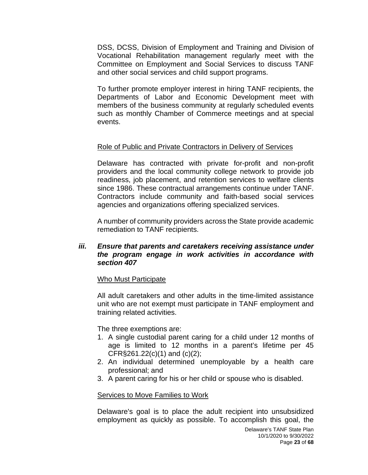DSS, DCSS, Division of Employment and Training and Division of Vocational Rehabilitation management regularly meet with the Committee on Employment and Social Services to discuss TANF and other social services and child support programs.

To further promote employer interest in hiring TANF recipients, the Departments of Labor and Economic Development meet with members of the business community at regularly scheduled events such as monthly Chamber of Commerce meetings and at special events.

#### Role of Public and Private Contractors in Delivery of Services

Delaware has contracted with private for-profit and non-profit providers and the local community college network to provide job readiness, job placement, and retention services to welfare clients since 1986. These contractual arrangements continue under TANF. Contractors include community and faith-based social services agencies and organizations offering specialized services.

A number of community providers across the State provide academic remediation to TANF recipients.

#### *iii. Ensure that parents and caretakers receiving assistance under the program engage in work activities in accordance with section 407*

#### Who Must Participate

All adult caretakers and other adults in the time-limited assistance unit who are not exempt must participate in TANF employment and training related activities.

The three exemptions are:

- 1. A single custodial parent caring for a child under 12 months of age is limited to 12 months in a parent's lifetime per 45 CFR§261.22(c)(1) and (c)(2);
- 2. An individual determined unemployable by a health care professional; and
- 3. A parent caring for his or her child or spouse who is disabled.

#### Services to Move Families to Work

Delaware's goal is to place the adult recipient into unsubsidized employment as quickly as possible. To accomplish this goal, the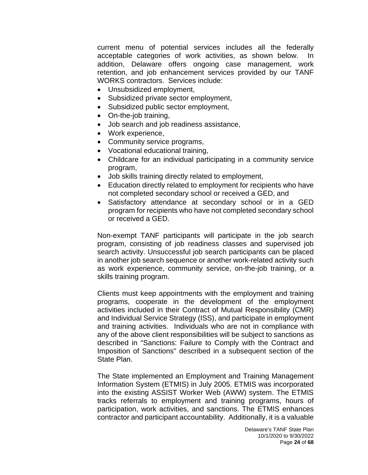current menu of potential services includes all the federally acceptable categories of work activities, as shown below. In addition, Delaware offers ongoing case management, work retention, and job enhancement services provided by our TANF WORKS contractors. Services include:

- Unsubsidized employment,
- Subsidized private sector employment,
- Subsidized public sector employment,
- On-the-job training,
- Job search and job readiness assistance,
- Work experience,
- Community service programs,
- Vocational educational training,
- Childcare for an individual participating in a community service program,
- Job skills training directly related to employment,
- Education directly related to employment for recipients who have not completed secondary school or received a GED, and
- Satisfactory attendance at secondary school or in a GED program for recipients who have not completed secondary school or received a GED.

Non-exempt TANF participants will participate in the job search program, consisting of job readiness classes and supervised job search activity. Unsuccessful job search participants can be placed in another job search sequence or another work-related activity such as work experience, community service, on-the-job training, or a skills training program.

Clients must keep appointments with the employment and training programs, cooperate in the development of the employment activities included in their Contract of Mutual Responsibility (CMR) and Individual Service Strategy (ISS), and participate in employment and training activities. Individuals who are not in compliance with any of the above client responsibilities will be subject to sanctions as described in "Sanctions: Failure to Comply with the Contract and Imposition of Sanctions" described in a subsequent section of the State Plan.

The State implemented an Employment and Training Management Information System (ETMIS) in July 2005. ETMIS was incorporated into the existing ASSIST Worker Web (AWW) system. The ETMIS tracks referrals to employment and training programs, hours of participation, work activities, and sanctions. The ETMIS enhances contractor and participant accountability. Additionally, it is a valuable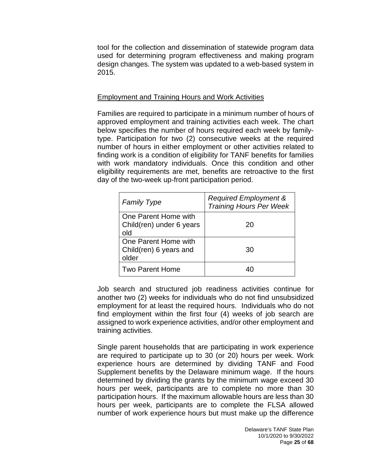tool for the collection and dissemination of statewide program data used for determining program effectiveness and making program design changes. The system was updated to a web-based system in 2015.

#### Employment and Training Hours and Work Activities

Families are required to participate in a minimum number of hours of approved employment and training activities each week. The chart below specifies the number of hours required each week by familytype. Participation for two (2) consecutive weeks at the required number of hours in either employment or other activities related to finding work is a condition of eligibility for TANF benefits for families with work mandatory individuals. Once this condition and other eligibility requirements are met, benefits are retroactive to the first day of the two-week up-front participation period.

| <b>Family Type</b>                                      | <b>Required Employment &amp;</b><br><b>Training Hours Per Week</b> |
|---------------------------------------------------------|--------------------------------------------------------------------|
| One Parent Home with<br>Child(ren) under 6 years<br>old | 20                                                                 |
| One Parent Home with<br>Child(ren) 6 years and<br>older | 30                                                                 |
| <b>Two Parent Home</b>                                  |                                                                    |

Job search and structured job readiness activities continue for another two (2) weeks for individuals who do not find unsubsidized employment for at least the required hours. Individuals who do not find employment within the first four (4) weeks of job search are assigned to work experience activities, and/or other employment and training activities.

Single parent households that are participating in work experience are required to participate up to 30 (or 20) hours per week. Work experience hours are determined by dividing TANF and Food Supplement benefits by the Delaware minimum wage. If the hours determined by dividing the grants by the minimum wage exceed 30 hours per week, participants are to complete no more than 30 participation hours. If the maximum allowable hours are less than 30 hours per week, participants are to complete the FLSA allowed number of work experience hours but must make up the difference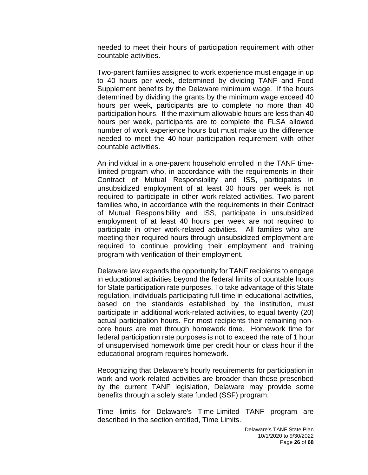needed to meet their hours of participation requirement with other countable activities.

Two-parent families assigned to work experience must engage in up to 40 hours per week, determined by dividing TANF and Food Supplement benefits by the Delaware minimum wage. If the hours determined by dividing the grants by the minimum wage exceed 40 hours per week, participants are to complete no more than 40 participation hours. If the maximum allowable hours are less than 40 hours per week, participants are to complete the FLSA allowed number of work experience hours but must make up the difference needed to meet the 40-hour participation requirement with other countable activities.

An individual in a one-parent household enrolled in the TANF timelimited program who, in accordance with the requirements in their Contract of Mutual Responsibility and ISS, participates in unsubsidized employment of at least 30 hours per week is not required to participate in other work-related activities. Two-parent families who, in accordance with the requirements in their Contract of Mutual Responsibility and ISS, participate in unsubsidized employment of at least 40 hours per week are not required to participate in other work-related activities. All families who are meeting their required hours through unsubsidized employment are required to continue providing their employment and training program with verification of their employment.

Delaware law expands the opportunity for TANF recipients to engage in educational activities beyond the federal limits of countable hours for State participation rate purposes. To take advantage of this State regulation, individuals participating full-time in educational activities, based on the standards established by the institution, must participate in additional work-related activities, to equal twenty (20) actual participation hours. For most recipients their remaining noncore hours are met through homework time. Homework time for federal participation rate purposes is not to exceed the rate of 1 hour of unsupervised homework time per credit hour or class hour if the educational program requires homework.

Recognizing that Delaware's hourly requirements for participation in work and work-related activities are broader than those prescribed by the current TANF legislation, Delaware may provide some benefits through a solely state funded (SSF) program.

Time limits for Delaware's Time-Limited TANF program are described in the section entitled, Time Limits.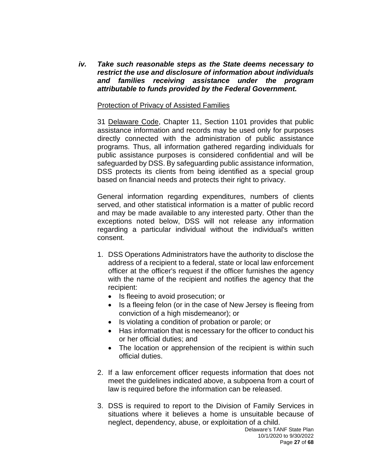*iv. Take such reasonable steps as the State deems necessary to restrict the use and disclosure of information about individuals and families receiving assistance under the program attributable to funds provided by the Federal Government.*

#### Protection of Privacy of Assisted Families

31 Delaware Code, Chapter 11, Section 1101 provides that public assistance information and records may be used only for purposes directly connected with the administration of public assistance programs. Thus, all information gathered regarding individuals for public assistance purposes is considered confidential and will be safeguarded by DSS. By safeguarding public assistance information, DSS protects its clients from being identified as a special group based on financial needs and protects their right to privacy.

General information regarding expenditures, numbers of clients served, and other statistical information is a matter of public record and may be made available to any interested party. Other than the exceptions noted below, DSS will not release any information regarding a particular individual without the individual's written consent.

- 1. DSS Operations Administrators have the authority to disclose the address of a recipient to a federal, state or local law enforcement officer at the officer's request if the officer furnishes the agency with the name of the recipient and notifies the agency that the recipient:
	- Is fleeing to avoid prosecution; or
	- Is a fleeing felon (or in the case of New Jersey is fleeing from conviction of a high misdemeanor); or
	- Is violating a condition of probation or parole; or
	- Has information that is necessary for the officer to conduct his or her official duties; and
	- The location or apprehension of the recipient is within such official duties.
- 2. If a law enforcement officer requests information that does not meet the guidelines indicated above, a subpoena from a court of law is required before the information can be released.
- 3. DSS is required to report to the Division of Family Services in situations where it believes a home is unsuitable because of neglect, dependency, abuse, or exploitation of a child.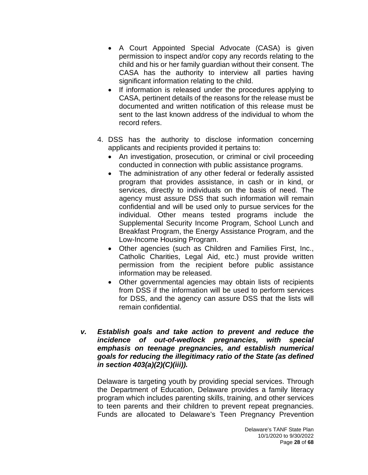- A Court Appointed Special Advocate (CASA) is given permission to inspect and/or copy any records relating to the child and his or her family guardian without their consent. The CASA has the authority to interview all parties having significant information relating to the child.
- If information is released under the procedures applying to CASA, pertinent details of the reasons for the release must be documented and written notification of this release must be sent to the last known address of the individual to whom the record refers.
- 4. DSS has the authority to disclose information concerning applicants and recipients provided it pertains to:
	- An investigation, prosecution, or criminal or civil proceeding conducted in connection with public assistance programs.
	- The administration of any other federal or federally assisted program that provides assistance, in cash or in kind, or services, directly to individuals on the basis of need. The agency must assure DSS that such information will remain confidential and will be used only to pursue services for the individual. Other means tested programs include the Supplemental Security Income Program, School Lunch and Breakfast Program, the Energy Assistance Program, and the Low-Income Housing Program.
	- Other agencies (such as Children and Families First, Inc., Catholic Charities, Legal Aid, etc.) must provide written permission from the recipient before public assistance information may be released.
	- Other governmental agencies may obtain lists of recipients from DSS if the information will be used to perform services for DSS, and the agency can assure DSS that the lists will remain confidential.
- *v. Establish goals and take action to prevent and reduce the incidence of out-of-wedlock pregnancies, with special emphasis on teenage pregnancies, and establish numerical goals for reducing the illegitimacy ratio of the State (as defined in section 403(a)(2)(C)(iii)).*

Delaware is targeting youth by providing special services. Through the Department of Education, Delaware provides a family literacy program which includes parenting skills, training, and other services to teen parents and their children to prevent repeat pregnancies. Funds are allocated to Delaware's Teen Pregnancy Prevention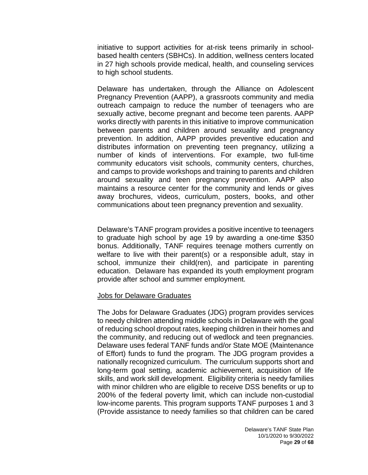initiative to support activities for at-risk teens primarily in schoolbased health centers (SBHCs). In addition, wellness centers located in 27 high schools provide medical, health, and counseling services to high school students.

Delaware has undertaken, through the Alliance on Adolescent Pregnancy Prevention (AAPP), a grassroots community and media outreach campaign to reduce the number of teenagers who are sexually active, become pregnant and become teen parents. AAPP works directly with parents in this initiative to improve communication between parents and children around sexuality and pregnancy prevention. In addition, AAPP provides preventive education and distributes information on preventing teen pregnancy, utilizing a number of kinds of interventions. For example, two full-time community educators visit schools, community centers, churches, and camps to provide workshops and training to parents and children around sexuality and teen pregnancy prevention. AAPP also maintains a resource center for the community and lends or gives away brochures, videos, curriculum, posters, books, and other communications about teen pregnancy prevention and sexuality.

Delaware's TANF program provides a positive incentive to teenagers to graduate high school by age 19 by awarding a one-time \$350 bonus. Additionally, TANF requires teenage mothers currently on welfare to live with their parent(s) or a responsible adult, stay in school, immunize their child(ren), and participate in parenting education. Delaware has expanded its youth employment program provide after school and summer employment.

#### Jobs for Delaware Graduates

The Jobs for Delaware Graduates (JDG) program provides services to needy children attending middle schools in Delaware with the goal of reducing school dropout rates, keeping children in their homes and the community, and reducing out of wedlock and teen pregnancies. Delaware uses federal TANF funds and/or State MOE (Maintenance of Effort) funds to fund the program. The JDG program provides a nationally recognized curriculum. The curriculum supports short and long-term goal setting, academic achievement, acquisition of life skills, and work skill development. Eligibility criteria is needy families with minor children who are eligible to receive DSS benefits or up to 200% of the federal poverty limit, which can include non-custodial low-income parents. This program supports TANF purposes 1 and 3 (Provide assistance to needy families so that children can be cared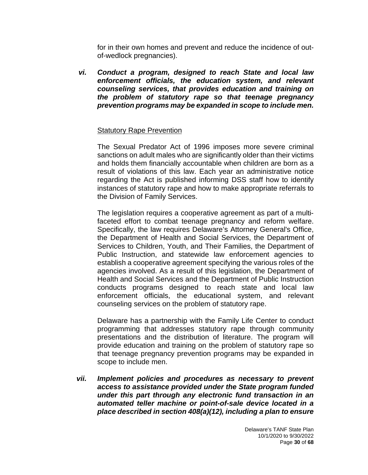for in their own homes and prevent and reduce the incidence of outof-wedlock pregnancies).

*vi. Conduct a program, designed to reach State and local law enforcement officials, the education system, and relevant counseling services, that provides education and training on the problem of statutory rape so that teenage pregnancy prevention programs may be expanded in scope to include men.*

#### Statutory Rape Prevention

The Sexual Predator Act of 1996 imposes more severe criminal sanctions on adult males who are significantly older than their victims and holds them financially accountable when children are born as a result of violations of this law. Each year an administrative notice regarding the Act is published informing DSS staff how to identify instances of statutory rape and how to make appropriate referrals to the Division of Family Services.

The legislation requires a cooperative agreement as part of a multifaceted effort to combat teenage pregnancy and reform welfare. Specifically, the law requires Delaware's Attorney General's Office, the Department of Health and Social Services, the Department of Services to Children, Youth, and Their Families, the Department of Public Instruction, and statewide law enforcement agencies to establish a cooperative agreement specifying the various roles of the agencies involved. As a result of this legislation, the Department of Health and Social Services and the Department of Public Instruction conducts programs designed to reach state and local law enforcement officials, the educational system, and relevant counseling services on the problem of statutory rape.

Delaware has a partnership with the Family Life Center to conduct programming that addresses statutory rape through community presentations and the distribution of literature. The program will provide education and training on the problem of statutory rape so that teenage pregnancy prevention programs may be expanded in scope to include men.

*vii. Implement policies and procedures as necessary to prevent access to assistance provided under the State program funded under this part through any electronic fund transaction in an automated teller machine or point-of-sale device located in a place described in section 408(a)(12), including a plan to ensure*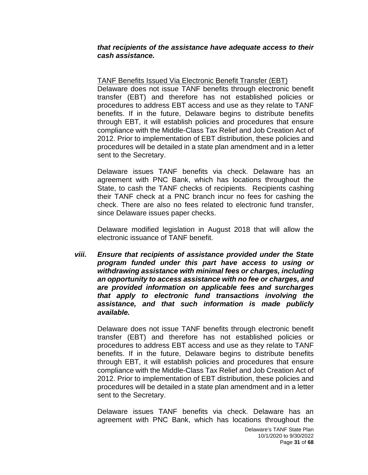#### *that recipients of the assistance have adequate access to their cash assistance.*

#### TANF Benefits Issued Via Electronic Benefit Transfer (EBT)

Delaware does not issue TANF benefits through electronic benefit transfer (EBT) and therefore has not established policies or procedures to address EBT access and use as they relate to TANF benefits. If in the future, Delaware begins to distribute benefits through EBT, it will establish policies and procedures that ensure compliance with the Middle-Class Tax Relief and Job Creation Act of 2012. Prior to implementation of EBT distribution, these policies and procedures will be detailed in a state plan amendment and in a letter sent to the Secretary.

Delaware issues TANF benefits via check. Delaware has an agreement with PNC Bank, which has locations throughout the State, to cash the TANF checks of recipients. Recipients cashing their TANF check at a PNC branch incur no fees for cashing the check. There are also no fees related to electronic fund transfer, since Delaware issues paper checks.

Delaware modified legislation in August 2018 that will allow the electronic issuance of TANF benefit.

*viii. Ensure that recipients of assistance provided under the State program funded under this part have access to using or withdrawing assistance with minimal fees or charges, including an opportunity to access assistance with no fee or charges, and are provided information on applicable fees and surcharges that apply to electronic fund transactions involving the assistance, and that such information is made publicly available.*

Delaware does not issue TANF benefits through electronic benefit transfer (EBT) and therefore has not established policies or procedures to address EBT access and use as they relate to TANF benefits. If in the future, Delaware begins to distribute benefits through EBT, it will establish policies and procedures that ensure compliance with the Middle-Class Tax Relief and Job Creation Act of 2012. Prior to implementation of EBT distribution, these policies and procedures will be detailed in a state plan amendment and in a letter sent to the Secretary.

Delaware issues TANF benefits via check. Delaware has an agreement with PNC Bank, which has locations throughout the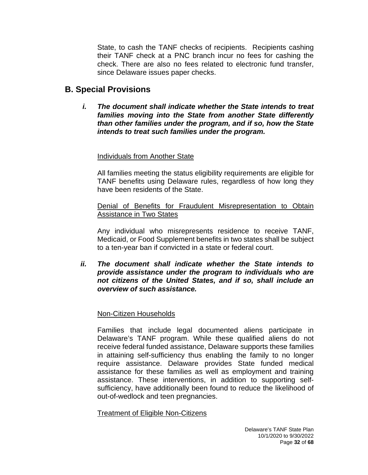State, to cash the TANF checks of recipients. Recipients cashing their TANF check at a PNC branch incur no fees for cashing the check. There are also no fees related to electronic fund transfer, since Delaware issues paper checks.

### **B. Special Provisions**

*i. The document shall indicate whether the State intends to treat families moving into the State from another State differently than other families under the program, and if so, how the State intends to treat such families under the program.*

### Individuals from Another State

All families meeting the status eligibility requirements are eligible for TANF benefits using Delaware rules, regardless of how long they have been residents of the State.

Denial of Benefits for Fraudulent Misrepresentation to Obtain Assistance in Two States

Any individual who misrepresents residence to receive TANF, Medicaid, or Food Supplement benefits in two states shall be subject to a ten-year ban if convicted in a state or federal court.

*ii. The document shall indicate whether the State intends to provide assistance under the program to individuals who are not citizens of the United States, and if so, shall include an overview of such assistance.*

### Non-Citizen Households

Families that include legal documented aliens participate in Delaware's TANF program. While these qualified aliens do not receive federal funded assistance, Delaware supports these families in attaining self-sufficiency thus enabling the family to no longer require assistance. Delaware provides State funded medical assistance for these families as well as employment and training assistance. These interventions, in addition to supporting selfsufficiency, have additionally been found to reduce the likelihood of out-of-wedlock and teen pregnancies.

### Treatment of Eligible Non-Citizens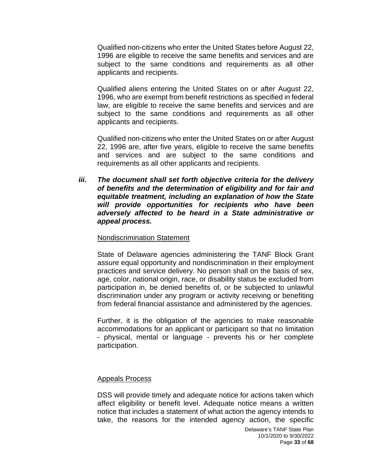Qualified non-citizens who enter the United States before August 22, 1996 are eligible to receive the same benefits and services and are subject to the same conditions and requirements as all other applicants and recipients.

Qualified aliens entering the United States on or after August 22, 1996, who are exempt from benefit restrictions as specified in federal law, are eligible to receive the same benefits and services and are subject to the same conditions and requirements as all other applicants and recipients.

Qualified non-citizens who enter the United States on or after August 22, 1996 are, after five years, eligible to receive the same benefits and services and are subject to the same conditions and requirements as all other applicants and recipients.

*iii. The document shall set forth objective criteria for the delivery of benefits and the determination of eligibility and for fair and equitable treatment, including an explanation of how the State will provide opportunities for recipients who have been adversely affected to be heard in a State administrative or appeal process.*

#### Nondiscrimination Statement

State of Delaware agencies administering the TANF Block Grant assure equal opportunity and nondiscrimination in their employment practices and service delivery. No person shall on the basis of sex, age, color, national origin, race, or disability status be excluded from participation in, be denied benefits of, or be subjected to unlawful discrimination under any program or activity receiving or benefiting from federal financial assistance and administered by the agencies.

Further, it is the obligation of the agencies to make reasonable accommodations for an applicant or participant so that no limitation - physical, mental or language - prevents his or her complete participation.

#### Appeals Process

DSS will provide timely and adequate notice for actions taken which affect eligibility or benefit level. Adequate notice means a written notice that includes a statement of what action the agency intends to take, the reasons for the intended agency action, the specific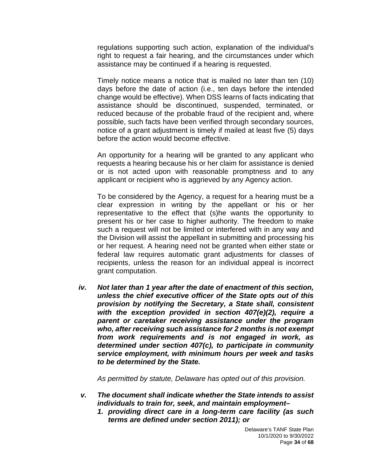regulations supporting such action, explanation of the individual's right to request a fair hearing, and the circumstances under which assistance may be continued if a hearing is requested.

Timely notice means a notice that is mailed no later than ten (10) days before the date of action (i.e., ten days before the intended change would be effective). When DSS learns of facts indicating that assistance should be discontinued, suspended, terminated, or reduced because of the probable fraud of the recipient and, where possible, such facts have been verified through secondary sources, notice of a grant adjustment is timely if mailed at least five (5) days before the action would become effective.

An opportunity for a hearing will be granted to any applicant who requests a hearing because his or her claim for assistance is denied or is not acted upon with reasonable promptness and to any applicant or recipient who is aggrieved by any Agency action.

To be considered by the Agency, a request for a hearing must be a clear expression in writing by the appellant or his or her representative to the effect that (s)he wants the opportunity to present his or her case to higher authority. The freedom to make such a request will not be limited or interfered with in any way and the Division will assist the appellant in submitting and processing his or her request. A hearing need not be granted when either state or federal law requires automatic grant adjustments for classes of recipients, unless the reason for an individual appeal is incorrect grant computation.

*iv. Not later than 1 year after the date of enactment of this section, unless the chief executive officer of the State opts out of this provision by notifying the Secretary, a State shall, consistent with the exception provided in section 407(e)(2), require a parent or caretaker receiving assistance under the program who, after receiving such assistance for 2 months is not exempt from work requirements and is not engaged in work, as determined under section 407(c), to participate in community service employment, with minimum hours per week and tasks to be determined by the State.*

*As permitted by statute, Delaware has opted out of this provision.*

- *v. The document shall indicate whether the State intends to assist individuals to train for, seek, and maintain employment–*
	- *1. providing direct care in a long-term care facility (as such terms are defined under section 2011); or*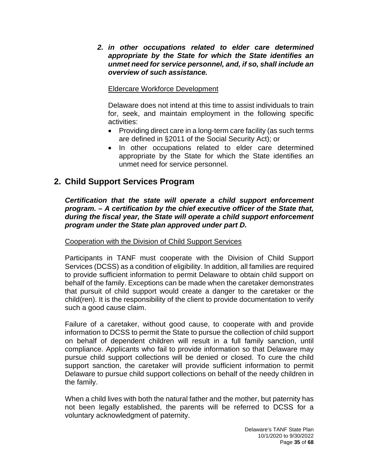*2. in other occupations related to elder care determined appropriate by the State for which the State identifies an unmet need for service personnel, and, if so, shall include an overview of such assistance.*

### Eldercare Workforce Development

Delaware does not intend at this time to assist individuals to train for, seek, and maintain employment in the following specific activities:

- Providing direct care in a long-term care facility (as such terms are defined in §2011 of the Social Security Act); or
- In other occupations related to elder care determined appropriate by the State for which the State identifies an unmet need for service personnel.

## **2. Child Support Services Program**

*Certification that the state will operate a child support enforcement program. – A certification by the chief executive officer of the State that, during the fiscal year, the State will operate a child support enforcement program under the State plan approved under part D.*

Cooperation with the Division of Child Support Services

Participants in TANF must cooperate with the Division of Child Support Services (DCSS) as a condition of eligibility. In addition, all families are required to provide sufficient information to permit Delaware to obtain child support on behalf of the family. Exceptions can be made when the caretaker demonstrates that pursuit of child support would create a danger to the caretaker or the child(ren). It is the responsibility of the client to provide documentation to verify such a good cause claim.

Failure of a caretaker, without good cause, to cooperate with and provide information to DCSS to permit the State to pursue the collection of child support on behalf of dependent children will result in a full family sanction, until compliance. Applicants who fail to provide information so that Delaware may pursue child support collections will be denied or closed. To cure the child support sanction, the caretaker will provide sufficient information to permit Delaware to pursue child support collections on behalf of the needy children in the family.

When a child lives with both the natural father and the mother, but paternity has not been legally established, the parents will be referred to DCSS for a voluntary acknowledgment of paternity.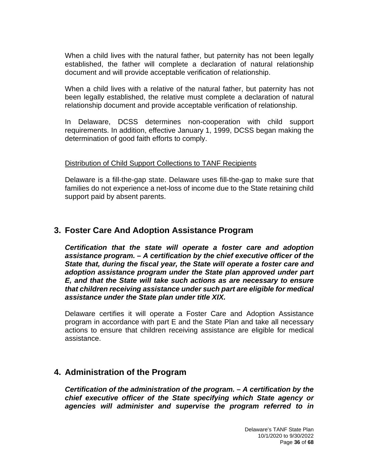When a child lives with the natural father, but paternity has not been legally established, the father will complete a declaration of natural relationship document and will provide acceptable verification of relationship.

When a child lives with a relative of the natural father, but paternity has not been legally established, the relative must complete a declaration of natural relationship document and provide acceptable verification of relationship.

In Delaware, DCSS determines non-cooperation with child support requirements. In addition, effective January 1, 1999, DCSS began making the determination of good faith efforts to comply.

#### Distribution of Child Support Collections to TANF Recipients

Delaware is a fill-the-gap state. Delaware uses fill-the-gap to make sure that families do not experience a net-loss of income due to the State retaining child support paid by absent parents.

### **3. Foster Care And Adoption Assistance Program**

*Certification that the state will operate a foster care and adoption assistance program. – A certification by the chief executive officer of the State that, during the fiscal year, the State will operate a foster care and adoption assistance program under the State plan approved under part E, and that the State will take such actions as are necessary to ensure that children receiving assistance under such part are eligible for medical assistance under the State plan under title XIX.*

Delaware certifies it will operate a Foster Care and Adoption Assistance program in accordance with part E and the State Plan and take all necessary actions to ensure that children receiving assistance are eligible for medical assistance.

### **4. Administration of the Program**

*Certification of the administration of the program. – A certification by the chief executive officer of the State specifying which State agency or agencies will administer and supervise the program referred to in*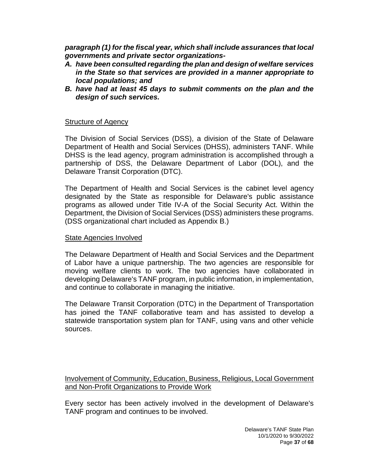*paragraph (1) for the fiscal year, which shall include assurances that local governments and private sector organizations-*

- *A. have been consulted regarding the plan and design of welfare services in the State so that services are provided in a manner appropriate to local populations; and*
- *B. have had at least 45 days to submit comments on the plan and the design of such services.*

#### Structure of Agency

The Division of Social Services (DSS), a division of the State of Delaware Department of Health and Social Services (DHSS), administers TANF. While DHSS is the lead agency, program administration is accomplished through a partnership of DSS, the Delaware Department of Labor (DOL), and the Delaware Transit Corporation (DTC).

The Department of Health and Social Services is the cabinet level agency designated by the State as responsible for Delaware's public assistance programs as allowed under Title IV-A of the Social Security Act. Within the Department, the Division of Social Services (DSS) administers these programs. (DSS organizational chart included as Appendix B.)

#### State Agencies Involved

The Delaware Department of Health and Social Services and the Department of Labor have a unique partnership. The two agencies are responsible for moving welfare clients to work. The two agencies have collaborated in developing Delaware's TANF program, in public information, in implementation, and continue to collaborate in managing the initiative.

The Delaware Transit Corporation (DTC) in the Department of Transportation has joined the TANF collaborative team and has assisted to develop a statewide transportation system plan for TANF, using vans and other vehicle sources.

Involvement of Community, Education, Business, Religious, Local Government and Non-Profit Organizations to Provide Work

Every sector has been actively involved in the development of Delaware's TANF program and continues to be involved.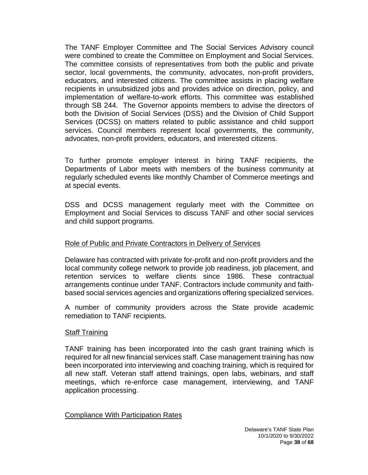The TANF Employer Committee and The Social Services Advisory council were combined to create the Committee on Employment and Social Services. The committee consists of representatives from both the public and private sector, local governments, the community, advocates, non-profit providers, educators, and interested citizens. The committee assists in placing welfare recipients in unsubsidized jobs and provides advice on direction, policy, and implementation of welfare-to-work efforts. This committee was established through SB 244. The Governor appoints members to advise the directors of both the Division of Social Services (DSS) and the Division of Child Support Services (DCSS) on matters related to public assistance and child support services. Council members represent local governments, the community, advocates, non-profit providers, educators, and interested citizens.

To further promote employer interest in hiring TANF recipients, the Departments of Labor meets with members of the business community at regularly scheduled events like monthly Chamber of Commerce meetings and at special events.

DSS and DCSS management regularly meet with the Committee on Employment and Social Services to discuss TANF and other social services and child support programs.

#### Role of Public and Private Contractors in Delivery of Services

Delaware has contracted with private for-profit and non-profit providers and the local community college network to provide job readiness, job placement, and retention services to welfare clients since 1986. These contractual arrangements continue under TANF. Contractors include community and faithbased social services agencies and organizations offering specialized services.

A number of community providers across the State provide academic remediation to TANF recipients.

#### Staff Training

TANF training has been incorporated into the cash grant training which is required for all new financial services staff. Case management training has now been incorporated into interviewing and coaching training, which is required for all new staff. Veteran staff attend trainings, open labs, webinars, and staff meetings, which re-enforce case management, interviewing, and TANF application processing.

#### Compliance With Participation Rates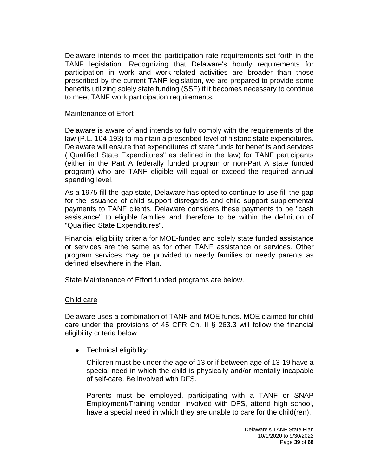Delaware intends to meet the participation rate requirements set forth in the TANF legislation. Recognizing that Delaware's hourly requirements for participation in work and work-related activities are broader than those prescribed by the current TANF legislation, we are prepared to provide some benefits utilizing solely state funding (SSF) if it becomes necessary to continue to meet TANF work participation requirements.

#### Maintenance of Effort

Delaware is aware of and intends to fully comply with the requirements of the law (P.L. 104-193) to maintain a prescribed level of historic state expenditures. Delaware will ensure that expenditures of state funds for benefits and services ("Qualified State Expenditures" as defined in the law) for TANF participants (either in the Part A federally funded program or non-Part A state funded program) who are TANF eligible will equal or exceed the required annual spending level.

As a 1975 fill-the-gap state, Delaware has opted to continue to use fill-the-gap for the issuance of child support disregards and child support supplemental payments to TANF clients. Delaware considers these payments to be "cash assistance" to eligible families and therefore to be within the definition of "Qualified State Expenditures".

Financial eligibility criteria for MOE-funded and solely state funded assistance or services are the same as for other TANF assistance or services. Other program services may be provided to needy families or needy parents as defined elsewhere in the Plan.

State Maintenance of Effort funded programs are below.

#### Child care

Delaware uses a combination of TANF and MOE funds. MOE claimed for child care under the provisions of 45 CFR Ch. II § 263.3 will follow the financial eligibility criteria below

• Technical eligibility:

Children must be under the age of 13 or if between age of 13-19 have a special need in which the child is physically and/or mentally incapable of self-care. Be involved with DFS.

Parents must be employed, participating with a TANF or SNAP Employment/Training vendor, involved with DFS, attend high school, have a special need in which they are unable to care for the child(ren).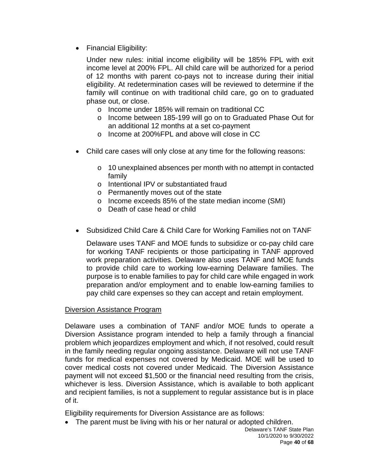• Financial Eligibility:

Under new rules: initial income eligibility will be 185% FPL with exit income level at 200% FPL. All child care will be authorized for a period of 12 months with parent co-pays not to increase during their initial eligibility. At redetermination cases will be reviewed to determine if the family will continue on with traditional child care, go on to graduated phase out, or close.

- o Income under 185% will remain on traditional CC
- o Income between 185-199 will go on to Graduated Phase Out for an additional 12 months at a set co-payment
- o Income at 200%FPL and above will close in CC
- Child care cases will only close at any time for the following reasons:
	- o 10 unexplained absences per month with no attempt in contacted family
	- o Intentional IPV or substantiated fraud
	- o Permanently moves out of the state
	- o Income exceeds 85% of the state median income (SMI)
	- o Death of case head or child
- Subsidized Child Care & Child Care for Working Families not on TANF

Delaware uses TANF and MOE funds to subsidize or co-pay child care for working TANF recipients or those participating in TANF approved work preparation activities. Delaware also uses TANF and MOE funds to provide child care to working low-earning Delaware families. The purpose is to enable families to pay for child care while engaged in work preparation and/or employment and to enable low-earning families to pay child care expenses so they can accept and retain employment.

#### Diversion Assistance Program

Delaware uses a combination of TANF and/or MOE funds to operate a Diversion Assistance program intended to help a family through a financial problem which jeopardizes employment and which, if not resolved, could result in the family needing regular ongoing assistance. Delaware will not use TANF funds for medical expenses not covered by Medicaid. MOE will be used to cover medical costs not covered under Medicaid. The Diversion Assistance payment will not exceed \$1,500 or the financial need resulting from the crisis, whichever is less. Diversion Assistance, which is available to both applicant and recipient families, is not a supplement to regular assistance but is in place of it.

Eligibility requirements for Diversion Assistance are as follows:

• The parent must be living with his or her natural or adopted children.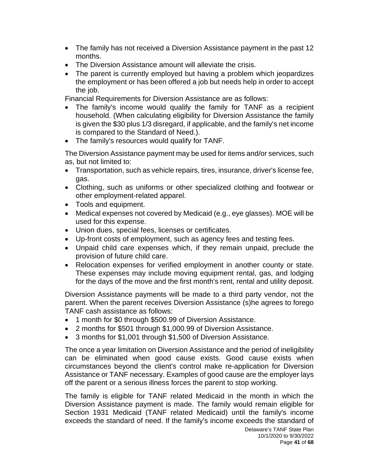- The family has not received a Diversion Assistance payment in the past 12 months.
- The Diversion Assistance amount will alleviate the crisis.
- The parent is currently employed but having a problem which jeopardizes the employment or has been offered a job but needs help in order to accept the job.

Financial Requirements for Diversion Assistance are as follows:

- The family's income would qualify the family for TANF as a recipient household. (When calculating eligibility for Diversion Assistance the family is given the \$30 plus 1/3 disregard, if applicable, and the family's net income is compared to the Standard of Need.).
- The family's resources would qualify for TANF.

The Diversion Assistance payment may be used for items and/or services, such as, but not limited to:

- Transportation, such as vehicle repairs, tires, insurance, driver's license fee, gas.
- Clothing, such as uniforms or other specialized clothing and footwear or other employment-related apparel.
- Tools and equipment.
- Medical expenses not covered by Medicaid (e.g., eye glasses). MOE will be used for this expense.
- Union dues, special fees, licenses or certificates.
- Up-front costs of employment, such as agency fees and testing fees.
- Unpaid child care expenses which, if they remain unpaid, preclude the provision of future child care.
- Relocation expenses for verified employment in another county or state. These expenses may include moving equipment rental, gas, and lodging for the days of the move and the first month's rent, rental and utility deposit.

Diversion Assistance payments will be made to a third party vendor, not the parent. When the parent receives Diversion Assistance (s)he agrees to forego TANF cash assistance as follows:

- 1 month for \$0 through \$500.99 of Diversion Assistance.
- 2 months for \$501 through \$1,000.99 of Diversion Assistance.
- 3 months for \$1,001 through \$1,500 of Diversion Assistance.

The once a year limitation on Diversion Assistance and the period of ineligibility can be eliminated when good cause exists. Good cause exists when circumstances beyond the client's control make re-application for Diversion Assistance or TANF necessary. Examples of good cause are the employer lays off the parent or a serious illness forces the parent to stop working.

The family is eligible for TANF related Medicaid in the month in which the Diversion Assistance payment is made. The family would remain eligible for Section 1931 Medicaid (TANF related Medicaid) until the family's income exceeds the standard of need. If the family's income exceeds the standard of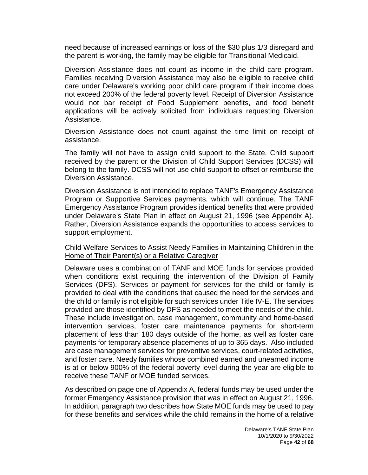need because of increased earnings or loss of the \$30 plus 1/3 disregard and the parent is working, the family may be eligible for Transitional Medicaid.

Diversion Assistance does not count as income in the child care program. Families receiving Diversion Assistance may also be eligible to receive child care under Delaware's working poor child care program if their income does not exceed 200% of the federal poverty level. Receipt of Diversion Assistance would not bar receipt of Food Supplement benefits, and food benefit applications will be actively solicited from individuals requesting Diversion Assistance.

Diversion Assistance does not count against the time limit on receipt of assistance.

The family will not have to assign child support to the State. Child support received by the parent or the Division of Child Support Services (DCSS) will belong to the family. DCSS will not use child support to offset or reimburse the Diversion Assistance.

Diversion Assistance is not intended to replace TANF's Emergency Assistance Program or Supportive Services payments, which will continue. The TANF Emergency Assistance Program provides identical benefits that were provided under Delaware's State Plan in effect on August 21, 1996 (see Appendix A). Rather, Diversion Assistance expands the opportunities to access services to support employment.

#### Child Welfare Services to Assist Needy Families in Maintaining Children in the Home of Their Parent(s) or a Relative Caregiver

Delaware uses a combination of TANF and MOE funds for services provided when conditions exist requiring the intervention of the Division of Family Services (DFS). Services or payment for services for the child or family is provided to deal with the conditions that caused the need for the services and the child or family is not eligible for such services under Title IV-E. The services provided are those identified by DFS as needed to meet the needs of the child. These include investigation, case management, community and home-based intervention services, foster care maintenance payments for short-term placement of less than 180 days outside of the home, as well as foster care payments for temporary absence placements of up to 365 days. Also included are case management services for preventive services, court-related activities, and foster care. Needy families whose combined earned and unearned income is at or below 900% of the federal poverty level during the year are eligible to receive these TANF or MOE funded services.

As described on page one of Appendix A, federal funds may be used under the former Emergency Assistance provision that was in effect on August 21, 1996. In addition, paragraph two describes how State MOE funds may be used to pay for these benefits and services while the child remains in the home of a relative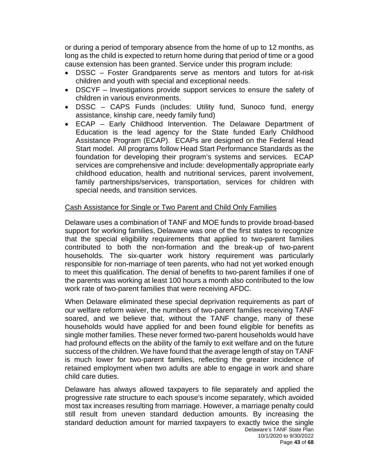or during a period of temporary absence from the home of up to 12 months, as long as the child is expected to return home during that period of time or a good cause extension has been granted. Service under this program include:

- DSSC Foster Grandparents serve as mentors and tutors for at-risk children and youth with special and exceptional needs.
- DSCYF Investigations provide support services to ensure the safety of children in various environments.
- DSSC CAPS Funds (includes: Utility fund, Sunoco fund, energy assistance, kinship care, needy family fund)
- ECAP Early Childhood Intervention. The Delaware Department of Education is the lead agency for the State funded Early Childhood Assistance Program (ECAP). ECAPs are designed on the Federal Head Start model. All programs follow Head Start Performance Standards as the foundation for developing their program's systems and services. ECAP services are comprehensive and include: developmentally appropriate early childhood education, health and nutritional services, parent involvement, family partnerships/services, transportation, services for children with special needs, and transition services.

#### Cash Assistance for Single or Two Parent and Child Only Families

Delaware uses a combination of TANF and MOE funds to provide broad-based support for working families, Delaware was one of the first states to recognize that the special eligibility requirements that applied to two-parent families contributed to both the non-formation and the break-up of two-parent households. The six-quarter work history requirement was particularly responsible for non-marriage of teen parents, who had not yet worked enough to meet this qualification. The denial of benefits to two-parent families if one of the parents was working at least 100 hours a month also contributed to the low work rate of two-parent families that were receiving AFDC.

When Delaware eliminated these special deprivation requirements as part of our welfare reform waiver, the numbers of two-parent families receiving TANF soared, and we believe that, without the TANF change, many of these households would have applied for and been found eligible for benefits as single mother families. These never formed two-parent households would have had profound effects on the ability of the family to exit welfare and on the future success of the children. We have found that the average length of stay on TANF is much lower for two-parent families, reflecting the greater incidence of retained employment when two adults are able to engage in work and share child care duties.

Delaware has always allowed taxpayers to file separately and applied the progressive rate structure to each spouse's income separately, which avoided most tax increases resulting from marriage. However, a marriage penalty could still result from uneven standard deduction amounts. By increasing the standard deduction amount for married taxpayers to exactly twice the single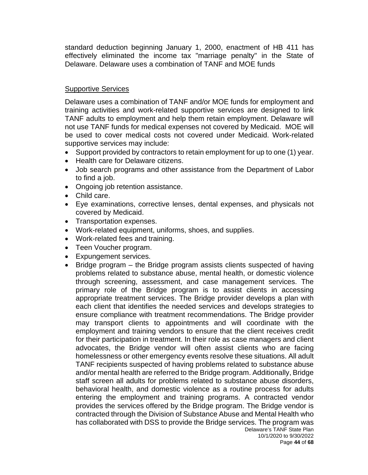standard deduction beginning January 1, 2000, enactment of HB 411 has effectively eliminated the income tax "marriage penalty" in the State of Delaware. Delaware uses a combination of TANF and MOE funds

#### **Supportive Services**

Delaware uses a combination of TANF and/or MOE funds for employment and training activities and work-related supportive services are designed to link TANF adults to employment and help them retain employment. Delaware will not use TANF funds for medical expenses not covered by Medicaid. MOE will be used to cover medical costs not covered under Medicaid. Work-related supportive services may include:

- Support provided by contractors to retain employment for up to one (1) year.
- Health care for Delaware citizens.
- Job search programs and other assistance from the Department of Labor to find a job.
- Ongoing job retention assistance.
- Child care.
- Eye examinations, corrective lenses, dental expenses, and physicals not covered by Medicaid.
- Transportation expenses.
- Work-related equipment, uniforms, shoes, and supplies.
- Work-related fees and training.
- Teen Voucher program.
- Expungement services.
- Delaware's TANF State Plan • Bridge program – the Bridge program assists clients suspected of having problems related to substance abuse, mental health, or domestic violence through screening, assessment, and case management services. The primary role of the Bridge program is to assist clients in accessing appropriate treatment services. The Bridge provider develops a plan with each client that identifies the needed services and develops strategies to ensure compliance with treatment recommendations. The Bridge provider may transport clients to appointments and will coordinate with the employment and training vendors to ensure that the client receives credit for their participation in treatment. In their role as case managers and client advocates, the Bridge vendor will often assist clients who are facing homelessness or other emergency events resolve these situations. All adult TANF recipients suspected of having problems related to substance abuse and/or mental health are referred to the Bridge program. Additionally, Bridge staff screen all adults for problems related to substance abuse disorders, behavioral health, and domestic violence as a routine process for adults entering the employment and training programs. A contracted vendor provides the services offered by the Bridge program. The Bridge vendor is contracted through the Division of Substance Abuse and Mental Health who has collaborated with DSS to provide the Bridge services. The program was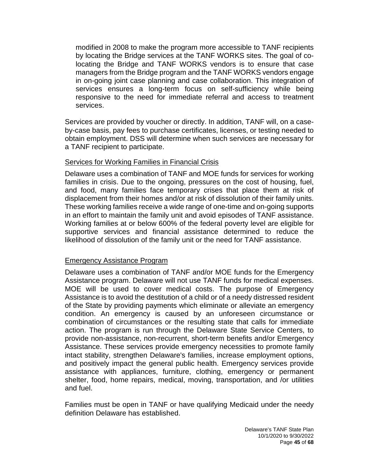modified in 2008 to make the program more accessible to TANF recipients by locating the Bridge services at the TANF WORKS sites. The goal of colocating the Bridge and TANF WORKS vendors is to ensure that case managers from the Bridge program and the TANF WORKS vendors engage in on-going joint case planning and case collaboration. This integration of services ensures a long-term focus on self-sufficiency while being responsive to the need for immediate referral and access to treatment services.

Services are provided by voucher or directly. In addition, TANF will, on a caseby-case basis, pay fees to purchase certificates, licenses, or testing needed to obtain employment. DSS will determine when such services are necessary for a TANF recipient to participate.

#### Services for Working Families in Financial Crisis

Delaware uses a combination of TANF and MOE funds for services for working families in crisis. Due to the ongoing, pressures on the cost of housing, fuel, and food, many families face temporary crises that place them at risk of displacement from their homes and/or at risk of dissolution of their family units. These working families receive a wide range of one-time and on-going supports in an effort to maintain the family unit and avoid episodes of TANF assistance. Working families at or below 600% of the federal poverty level are eligible for supportive services and financial assistance determined to reduce the likelihood of dissolution of the family unit or the need for TANF assistance.

#### Emergency Assistance Program

Delaware uses a combination of TANF and/or MOE funds for the Emergency Assistance program. Delaware will not use TANF funds for medical expenses. MOE will be used to cover medical costs. The purpose of Emergency Assistance is to avoid the destitution of a child or of a needy distressed resident of the State by providing payments which eliminate or alleviate an emergency condition. An emergency is caused by an unforeseen circumstance or combination of circumstances or the resulting state that calls for immediate action. The program is run through the Delaware State Service Centers, to provide non-assistance, non-recurrent, short-term benefits and/or Emergency Assistance. These services provide emergency necessities to promote family intact stability, strengthen Delaware's families, increase employment options, and positively impact the general public health. Emergency services provide assistance with appliances, furniture, clothing, emergency or permanent shelter, food, home repairs, medical, moving, transportation, and /or utilities and fuel.

Families must be open in TANF or have qualifying Medicaid under the needy definition Delaware has established.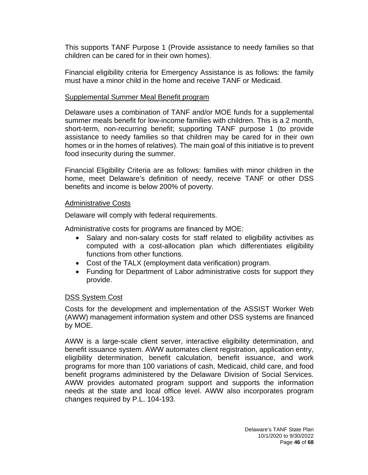This supports TANF Purpose 1 (Provide assistance to needy families so that children can be cared for in their own homes).

Financial eligibility criteria for Emergency Assistance is as follows: the family must have a minor child in the home and receive TANF or Medicaid.

#### Supplemental Summer Meal Benefit program

Delaware uses a combination of TANF and/or MOE funds for a supplemental summer meals benefit for low-income families with children. This is a 2 month, short-term, non-recurring benefit; supporting TANF purpose 1 (to provide assistance to needy families so that children may be cared for in their own homes or in the homes of relatives). The main goal of this initiative is to prevent food insecurity during the summer.

Financial Eligibility Criteria are as follows: families with minor children in the home, meet Delaware's definition of needy, receive TANF or other DSS benefits and income is below 200% of poverty.

#### Administrative Costs

Delaware will comply with federal requirements.

Administrative costs for programs are financed by MOE:

- Salary and non-salary costs for staff related to eligibility activities as computed with a cost-allocation plan which differentiates eligibility functions from other functions.
- Cost of the TALX (employment data verification) program.
- Funding for Department of Labor administrative costs for support they provide.

#### DSS System Cost

Costs for the development and implementation of the ASSIST Worker Web (AWW) management information system and other DSS systems are financed by MOE.

AWW is a large-scale client server, interactive eligibility determination, and benefit issuance system. AWW automates client registration, application entry, eligibility determination, benefit calculation, benefit issuance, and work programs for more than 100 variations of cash, Medicaid, child care, and food benefit programs administered by the Delaware Division of Social Services. AWW provides automated program support and supports the information needs at the state and local office level. AWW also incorporates program changes required by P.L. 104-193.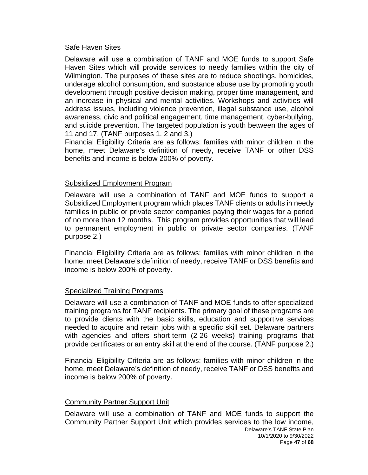#### Safe Haven Sites

Delaware will use a combination of TANF and MOE funds to support Safe Haven Sites which will provide services to needy families within the city of Wilmington. The purposes of these sites are to reduce shootings, homicides, underage alcohol consumption, and substance abuse use by promoting youth development through positive decision making, proper time management, and an increase in physical and mental activities. Workshops and activities will address issues, including violence prevention, illegal substance use, alcohol awareness, civic and political engagement, time management, cyber-bullying, and suicide prevention. The targeted population is youth between the ages of 11 and 17. (TANF purposes 1, 2 and 3.)

Financial Eligibility Criteria are as follows: families with minor children in the home, meet Delaware's definition of needy, receive TANF or other DSS benefits and income is below 200% of poverty.

#### Subsidized Employment Program

Delaware will use a combination of TANF and MOE funds to support a Subsidized Employment program which places TANF clients or adults in needy families in public or private sector companies paying their wages for a period of no more than 12 months. This program provides opportunities that will lead to permanent employment in public or private sector companies. (TANF purpose 2.)

Financial Eligibility Criteria are as follows: families with minor children in the home, meet Delaware's definition of needy, receive TANF or DSS benefits and income is below 200% of poverty.

#### Specialized Training Programs

Delaware will use a combination of TANF and MOE funds to offer specialized training programs for TANF recipients. The primary goal of these programs are to provide clients with the basic skills, education and supportive services needed to acquire and retain jobs with a specific skill set. Delaware partners with agencies and offers short-term (2-26 weeks) training programs that provide certificates or an entry skill at the end of the course. (TANF purpose 2.)

Financial Eligibility Criteria are as follows: families with minor children in the home, meet Delaware's definition of needy, receive TANF or DSS benefits and income is below 200% of poverty.

#### **Community Partner Support Unit**

Delaware's TANF State Plan 10/1/2020 to 9/30/2022 Page **47** of **68** Delaware will use a combination of TANF and MOE funds to support the Community Partner Support Unit which provides services to the low income,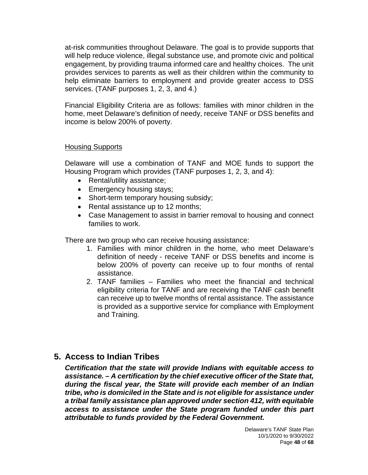at-risk communities throughout Delaware. The goal is to provide supports that will help reduce violence, illegal substance use, and promote civic and political engagement, by providing trauma informed care and healthy choices. The unit provides services to parents as well as their children within the community to help eliminate barriers to employment and provide greater access to DSS services. (TANF purposes 1, 2, 3, and 4.)

Financial Eligibility Criteria are as follows: families with minor children in the home, meet Delaware's definition of needy, receive TANF or DSS benefits and income is below 200% of poverty.

#### Housing Supports

Delaware will use a combination of TANF and MOE funds to support the Housing Program which provides (TANF purposes 1, 2, 3, and 4):

- Rental/utility assistance;
- Emergency housing stays;
- Short-term temporary housing subsidy;
- Rental assistance up to 12 months;
- Case Management to assist in barrier removal to housing and connect families to work.

There are two group who can receive housing assistance:

- 1. Families with minor children in the home, who meet Delaware's definition of needy - receive TANF or DSS benefits and income is below 200% of poverty can receive up to four months of rental assistance.
- 2. TANF families Families who meet the financial and technical eligibility criteria for TANF and are receiving the TANF cash benefit can receive up to twelve months of rental assistance. The assistance is provided as a supportive service for compliance with Employment and Training.

### **5. Access to Indian Tribes**

*Certification that the state will provide Indians with equitable access to assistance. – A certification by the chief executive officer of the State that, during the fiscal year, the State will provide each member of an Indian tribe, who is domiciled in the State and is not eligible for assistance under a tribal family assistance plan approved under section 412, with equitable access to assistance under the State program funded under this part attributable to funds provided by the Federal Government.*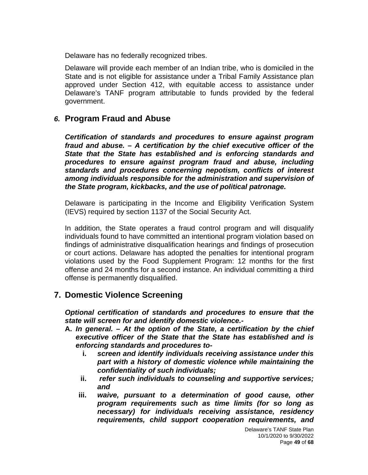Delaware has no federally recognized tribes.

Delaware will provide each member of an Indian tribe, who is domiciled in the State and is not eligible for assistance under a Tribal Family Assistance plan approved under Section 412, with equitable access to assistance under Delaware's TANF program attributable to funds provided by the federal government.

### *6.* **Program Fraud and Abuse**

*Certification of standards and procedures to ensure against program fraud and abuse. – A certification by the chief executive officer of the State that the State has established and is enforcing standards and procedures to ensure against program fraud and abuse, including standards and procedures concerning nepotism, conflicts of interest among individuals responsible for the administration and supervision of the State program, kickbacks, and the use of political patronage.*

Delaware is participating in the Income and Eligibility Verification System (IEVS) required by section 1137 of the Social Security Act.

In addition, the State operates a fraud control program and will disqualify individuals found to have committed an intentional program violation based on findings of administrative disqualification hearings and findings of prosecution or court actions. Delaware has adopted the penalties for intentional program violations used by the Food Supplement Program: 12 months for the first offense and 24 months for a second instance. An individual committing a third offense is permanently disqualified.

### **7. Domestic Violence Screening**

*Optional certification of standards and procedures to ensure that the state will screen for and identify domestic violence.-*

- **A.** *In general. – At the option of the State, a certification by the chief executive officer of the State that the State has established and is enforcing standards and procedures to*
	- **i.** *screen and identify individuals receiving assistance under this part with a history of domestic violence while maintaining the confidentiality of such individuals;*
	- **ii.** *refer such individuals to counseling and supportive services; and*
	- **iii.** *waive, pursuant to a determination of good cause, other program requirements such as time limits (for so long as necessary) for individuals receiving assistance, residency requirements, child support cooperation requirements, and*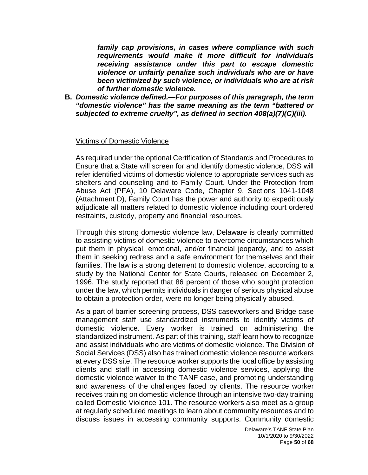*family cap provisions, in cases where compliance with such requirements would make it more difficult for individuals receiving assistance under this part to escape domestic violence or unfairly penalize such individuals who are or have been victimized by such violence, or individuals who are at risk of further domestic violence.*

**B.** *Domestic violence defined.—For purposes of this paragraph, the term "domestic violence" has the same meaning as the term "battered or subjected to extreme cruelty", as defined in section 408(a)(7)(C)(iii).*

#### Victims of Domestic Violence

As required under the optional Certification of Standards and Procedures to Ensure that a State will screen for and identify domestic violence, DSS will refer identified victims of domestic violence to appropriate services such as shelters and counseling and to Family Court. Under the Protection from Abuse Act (PFA), 10 Delaware Code, Chapter 9, Sections 1041-1048 (Attachment D), Family Court has the power and authority to expeditiously adjudicate all matters related to domestic violence including court ordered restraints, custody, property and financial resources.

Through this strong domestic violence law, Delaware is clearly committed to assisting victims of domestic violence to overcome circumstances which put them in physical, emotional, and/or financial jeopardy, and to assist them in seeking redress and a safe environment for themselves and their families. The law is a strong deterrent to domestic violence, according to a study by the National Center for State Courts, released on December 2, 1996. The study reported that 86 percent of those who sought protection under the law, which permits individuals in danger of serious physical abuse to obtain a protection order, were no longer being physically abused.

As a part of barrier screening process, DSS caseworkers and Bridge case management staff use standardized instruments to identify victims of domestic violence. Every worker is trained on administering the standardized instrument. As part of this training, staff learn how to recognize and assist individuals who are victims of domestic violence. The Division of Social Services (DSS) also has trained domestic violence resource workers at every DSS site. The resource worker supports the local office by assisting clients and staff in accessing domestic violence services, applying the domestic violence waiver to the TANF case, and promoting understanding and awareness of the challenges faced by clients. The resource worker receives training on domestic violence through an intensive two-day training called Domestic Violence 101. The resource workers also meet as a group at regularly scheduled meetings to learn about community resources and to discuss issues in accessing community supports. Community domestic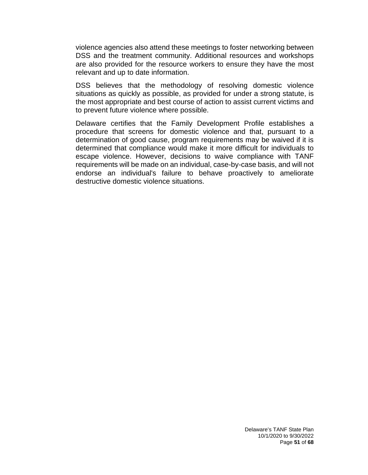violence agencies also attend these meetings to foster networking between DSS and the treatment community. Additional resources and workshops are also provided for the resource workers to ensure they have the most relevant and up to date information.

DSS believes that the methodology of resolving domestic violence situations as quickly as possible, as provided for under a strong statute, is the most appropriate and best course of action to assist current victims and to prevent future violence where possible.

Delaware certifies that the Family Development Profile establishes a procedure that screens for domestic violence and that, pursuant to a determination of good cause, program requirements may be waived if it is determined that compliance would make it more difficult for individuals to escape violence. However, decisions to waive compliance with TANF requirements will be made on an individual, case-by-case basis, and will not endorse an individual's failure to behave proactively to ameliorate destructive domestic violence situations.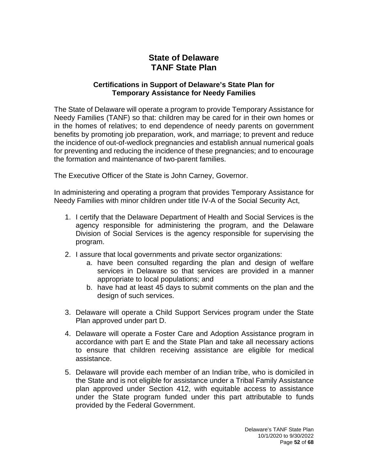### **State of Delaware TANF State Plan**

#### **Certifications in Support of Delaware's State Plan for Temporary Assistance for Needy Families**

The State of Delaware will operate a program to provide Temporary Assistance for Needy Families (TANF) so that: children may be cared for in their own homes or in the homes of relatives; to end dependence of needy parents on government benefits by promoting job preparation, work, and marriage; to prevent and reduce the incidence of out-of-wedlock pregnancies and establish annual numerical goals for preventing and reducing the incidence of these pregnancies; and to encourage the formation and maintenance of two-parent families.

The Executive Officer of the State is John Carney, Governor.

In administering and operating a program that provides Temporary Assistance for Needy Families with minor children under title IV-A of the Social Security Act,

- 1. I certify that the Delaware Department of Health and Social Services is the agency responsible for administering the program, and the Delaware Division of Social Services is the agency responsible for supervising the program.
- 2. I assure that local governments and private sector organizations:
	- a. have been consulted regarding the plan and design of welfare services in Delaware so that services are provided in a manner appropriate to local populations; and
	- b. have had at least 45 days to submit comments on the plan and the design of such services.
- 3. Delaware will operate a Child Support Services program under the State Plan approved under part D.
- 4. Delaware will operate a Foster Care and Adoption Assistance program in accordance with part E and the State Plan and take all necessary actions to ensure that children receiving assistance are eligible for medical assistance.
- 5. Delaware will provide each member of an Indian tribe, who is domiciled in the State and is not eligible for assistance under a Tribal Family Assistance plan approved under Section 412, with equitable access to assistance under the State program funded under this part attributable to funds provided by the Federal Government.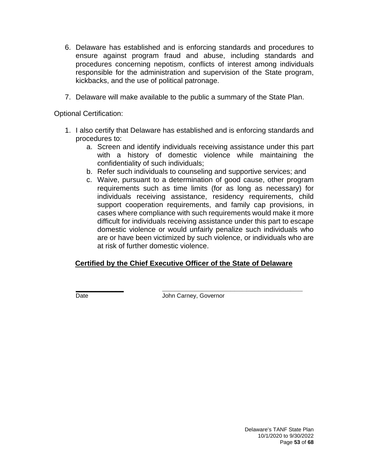- 6. Delaware has established and is enforcing standards and procedures to ensure against program fraud and abuse, including standards and procedures concerning nepotism, conflicts of interest among individuals responsible for the administration and supervision of the State program, kickbacks, and the use of political patronage.
- 7. Delaware will make available to the public a summary of the State Plan.

Optional Certification:

- 1. I also certify that Delaware has established and is enforcing standards and procedures to:
	- a. Screen and identify individuals receiving assistance under this part with a history of domestic violence while maintaining the confidentiality of such individuals;
	- b. Refer such individuals to counseling and supportive services; and
	- c. Waive, pursuant to a determination of good cause, other program requirements such as time limits (for as long as necessary) for individuals receiving assistance, residency requirements, child support cooperation requirements, and family cap provisions, in cases where compliance with such requirements would make it more difficult for individuals receiving assistance under this part to escape domestic violence or would unfairly penalize such individuals who are or have been victimized by such violence, or individuals who are at risk of further domestic violence.

### **Certified by the Chief Executive Officer of the State of Delaware**

**\_\_\_\_\_\_\_\_\_\_\_\_ \_\_\_\_\_\_\_\_\_\_\_\_\_\_\_\_\_\_\_\_\_\_\_\_\_\_\_\_\_\_\_\_\_\_\_** Date **Date** John Carney, Governor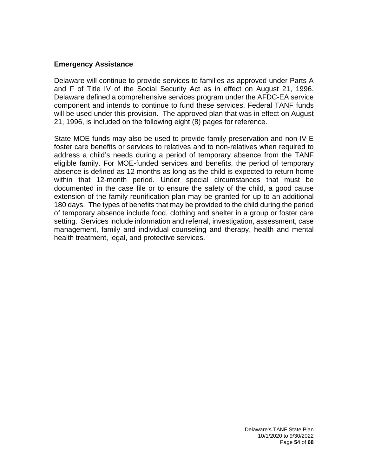#### **Emergency Assistance**

Delaware will continue to provide services to families as approved under Parts A and F of Title IV of the Social Security Act as in effect on August 21, 1996. Delaware defined a comprehensive services program under the AFDC-EA service component and intends to continue to fund these services. Federal TANF funds will be used under this provision. The approved plan that was in effect on August 21, 1996, is included on the following eight (8) pages for reference.

State MOE funds may also be used to provide family preservation and non-IV-E foster care benefits or services to relatives and to non-relatives when required to address a child's needs during a period of temporary absence from the TANF eligible family. For MOE-funded services and benefits, the period of temporary absence is defined as 12 months as long as the child is expected to return home within that 12-month period. Under special circumstances that must be documented in the case file or to ensure the safety of the child, a good cause extension of the family reunification plan may be granted for up to an additional 180 days. The types of benefits that may be provided to the child during the period of temporary absence include food, clothing and shelter in a group or foster care setting. Services include information and referral, investigation, assessment, case management, family and individual counseling and therapy, health and mental health treatment, legal, and protective services.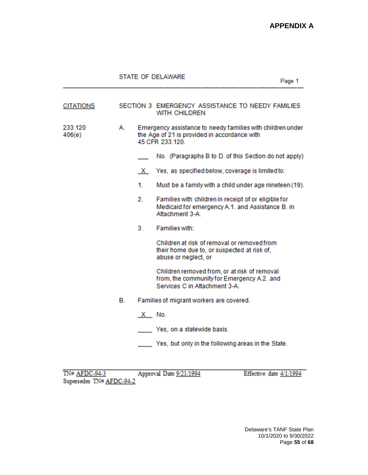| <b>CITATIONS</b>  |    |         | SECTION 3 EMERGENCY ASSISTANCE TO NEEDY FAMILIES<br>WITH CHILDREN                                                             |
|-------------------|----|---------|-------------------------------------------------------------------------------------------------------------------------------|
| 233.120<br>406(e) | A. |         | Emergency assistance to needy families with children under<br>the Age of 21 is provided in accordance with<br>45 CFR 233.120. |
|                   |    |         | No. (Paragraphs B to D. of this Section do not apply)                                                                         |
|                   |    | X.      | Yes, as specified below, coverage is limited to:                                                                              |
|                   |    | 1.      | Must be a family with a child under age nineteen (19).                                                                        |
|                   |    | 2.      | Families with children in receipt of or eligible for<br>Medicaid for emergency A.1. and Assistance B. in<br>Attachment 3-A.   |
|                   |    | 3.      | Families with:                                                                                                                |
|                   |    |         | Children at risk of removal or removed from<br>their home due to, or suspected at risk of,<br>abuse or neglect, or            |
|                   |    |         | Children removed from, or at risk of removal<br>from, the community for Emergency A.2. and<br>Services C in Attachment 3-A.   |
|                   | В. |         | Families of migrant workers are covered.                                                                                      |
|                   |    | $X$ No. |                                                                                                                               |
|                   |    |         | Yes, on a statewide basis.                                                                                                    |
|                   |    |         | Yes, but only in the following areas in the State.                                                                            |

TN# AFDC-94-3<br>Supersedes TN# AFDC-94-2

Approval Date 9/21/1994

Effective date 4/1/1994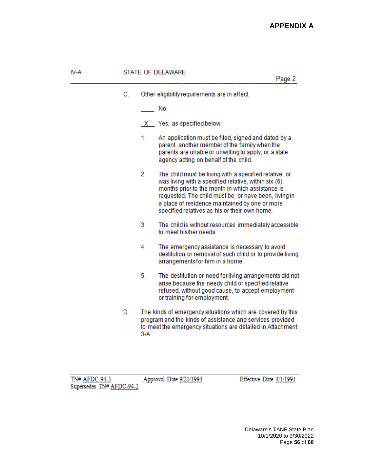|    | STATE OF DELAWARE<br>Page 2 |                                                                                                                                                                                                                                                                                                                                |  |
|----|-----------------------------|--------------------------------------------------------------------------------------------------------------------------------------------------------------------------------------------------------------------------------------------------------------------------------------------------------------------------------|--|
| С. |                             | Other eligibility requirements are in effect.                                                                                                                                                                                                                                                                                  |  |
|    |                             | No.                                                                                                                                                                                                                                                                                                                            |  |
|    |                             | $X$ Yes, as specified below:                                                                                                                                                                                                                                                                                                   |  |
|    | 1.                          | An application must be filed, signed and dated by a<br>parent, another member of the family when the<br>parents are unable or unwilling to apply, or a state<br>agency acting on behalf of the child.                                                                                                                          |  |
|    | 2.                          | The child must be living with a specified relative, or<br>was living with a specified relative, within six (6)<br>months prior to the month in which assistance is<br>requested. The child must be, or have been, living in<br>a place of residence maintained by one or more<br>specified relatives as his or their own home. |  |
|    | 3.                          | The child is without resources immediately accessible<br>to meet his/her needs.                                                                                                                                                                                                                                                |  |
|    | 4.                          | The emergency assistance is necessary to avoid<br>destitution or removal of such child or to provide living<br>arrangements for him in a home.                                                                                                                                                                                 |  |
|    | 5.                          | The destitution or need for living arrangements did not<br>arise because the needy child or specified relative<br>refused, without good cause, to accept employment<br>or training for employment.                                                                                                                             |  |
| D  | 3-A.                        | The kinds of emergency situations which are covered by this<br>program and the kinds of assistance and services provided<br>to meet the emergency situations are detailed in Attachment                                                                                                                                        |  |

TN# AFDC-94-3 Supersedes TN# AFDC-94-2

IV-A

Approval Date 9/21/1994

Effective Date 4/1/1994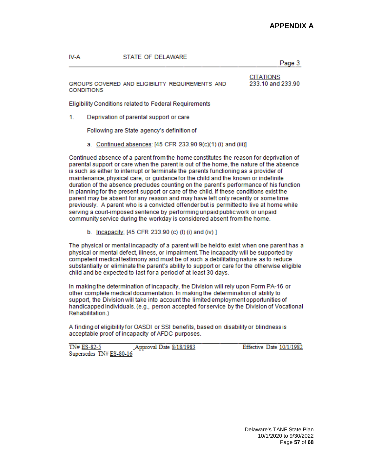#### IV-A **STATE OF DELAWARE**

Page 3

**CITATIONS** 

233.10 and 233.90 GROUPS COVERED AND ELIGIBILITY REQUIREMENTS AND **CONDITIONS** 

Eligibility Conditions related to Federal Requirements

 $1.$ Deprivation of parental support or care

Following are State agency's definition of

a. Continued absences: [45 CFR 233.90 9(c)(1) (i) and (iii)]

Continued absence of a parent from the home constitutes the reason for deprivation of parental support or care when the parent is out of the home, the nature of the absence is such as either to interrupt or terminate the parents functioning as a provider of maintenance, physical care, or guidance for the child and the known or indefinite duration of the absence precludes counting on the parent's performance of his function in planning for the present support or care of the child. If these conditions exist the parent may be absent for any reason and may have left only recently or some time previously. A parent who is a convicted offender but is permitted to live at home while serving a court-imposed sentence by performing unpaid public work or unpaid community service during the workday is considered absent from the home.

b. Incapacity; [45 CFR 233.90 (c) (l) (i) and (iv) ]

The physical or mental incapacity of a parent will be held to exist when one parent has a physical or mental defect, illness, or impairment. The incapacity will be supported by competent medical testimony and must be of such a debilitating nature as to reduce substantially or eliminate the parent's ability to support or care for the otherwise eligible child and be expected to last for a period of at least 30 days.

In making the determination of incapacity, the Division will rely upon Form PA-16 or other complete medical documentation. In making the determination of ability to support, the Division will take into account the limited employment opportunities of handicapped individuals. (e.g., person accepted for service by the Division of Vocational Rehabilitation.)

A finding of eligibility for OASDI or SSI benefits, based on disability or blindness is acceptable proof of incapacity of AFDC purposes.

TN# ES-82-5 Approval Date 8/18/1983 Supersedes TN# ES-80-16

Effective Date 10/1/1982

Delaware's TANF State Plan 10/1/2020 to 9/30/2022 Page **57** of **68**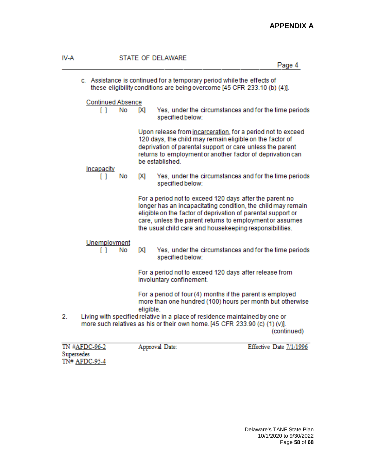| IV-A |                                       | <b>STATE OF DELAWARE</b>                                                                                                                                                                                                                                                                                       | Page 4                  |
|------|---------------------------------------|----------------------------------------------------------------------------------------------------------------------------------------------------------------------------------------------------------------------------------------------------------------------------------------------------------------|-------------------------|
|      |                                       | c. Assistance is continued for a temporary period while the effects of<br>these eligibility conditions are being overcome [45 CFR 233.10 (b) (4)].                                                                                                                                                             |                         |
|      | <b>Continued Absence</b><br>I I<br>No | Yes, under the circumstances and for the time periods<br>ſХI<br>specified below:                                                                                                                                                                                                                               |                         |
|      |                                       | Upon release from incarceration, for a period not to exceed<br>120 days, the child may remain eligible on the factor of<br>deprivation of parental support or care unless the parent<br>returns to employment or another factor of deprivation can<br>be established.                                          |                         |
|      | Incapacity<br>No<br>Γl                | Yes, under the circumstances and for the time periods<br>[X]<br>specified below:                                                                                                                                                                                                                               |                         |
|      |                                       | For a period not to exceed 120 days after the parent no<br>longer has an incapacitating condition, the child may remain<br>eligible on the factor of deprivation of parental support or<br>care, unless the parent returns to employment or assumes<br>the usual child care and housekeeping responsibilities. |                         |
|      | Unemployment<br>No<br>ΓI              | [X]<br>Yes, under the circumstances and for the time periods<br>specified below:                                                                                                                                                                                                                               |                         |
|      |                                       | For a period not to exceed 120 days after release from<br>involuntary confinement.                                                                                                                                                                                                                             |                         |
| 2.   |                                       | For a period of four (4) months if the parent is employed<br>more than one hundred (100) hours per month but otherwise<br>eligible.<br>Living with specified relative in a place of residence maintained by one or<br>more such relatives as his or their own home. [45 CFR 233.90 (c) (1) (v)].               | (continued)             |
|      | TN #AFDC-96-2                         | Approval Date:                                                                                                                                                                                                                                                                                                 | Effective Date 7/1/1996 |

TN #<u>AFDC-96-2</u><br>Supersedes<br>TN# <u>AFDC-95-4</u>

Delaware's TANF State Plan 10/1/2020 to 9/30/2022 Page **58** of **68**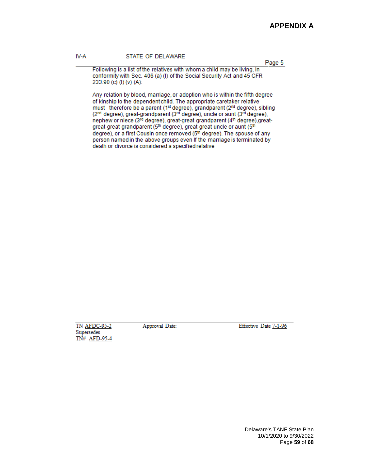#### **APPENDIX A**

#### STATE OF DELAWARE

Page 5

Following is a list of the relatives with whom a child may be living, in conformity with Sec. 406 (a) (I) of the Social Security Act and 45 CFR 233.90 (c) (l) (v) (A):

Any relation by blood, marriage, or adoption who is within the fifth degree of kinship to the dependent child. The appropriate caretaker relative must therefore be a parent (1<sup>st</sup> degree), grandparent (2<sup>nd</sup> degree), sibling (2nd degree), great-grandparent (3rd degree), uncle or aunt (3rd degree), nephew or niece (3rd degree), great-great grandparent (4th degree), greatgreat-great grandparent (5<sup>th</sup> degree), great-great uncle or aunt (5<sup>th</sup> degree), or a first Cousin once removed (5<sup>th</sup> degree). The spouse of any person named in the above groups even If the marriage is terminated by death or divorce is considered a specified relative

TN AFDC-95-2 Supersedes TN# AFD-95-4 Approval Date:

Effective Date 7-1-96

Delaware's TANF State Plan 10/1/2020 to 9/30/2022 Page **59** of **68**

IV-A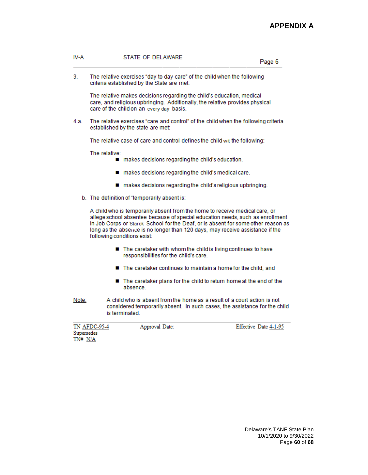#### **APPENDIX A**

Page 6

#### IV-A STATE OF DELAWARE

3. The relative exercises "day to day care" of the child when the following criteria established by the State are met:

The relative makes decisions regarding the child's education, medical care, and religious upbringing. Additionally, the relative provides physical care of the child on an every day basis.

4.a. The relative exercises "care and control" of the child when the following criteria established by the state are met:

The relative case of care and control defines the child wit the following:

The relative:

- makes decisions regarding the child's education.
- makes decisions regarding the child's medical care.
- makes decisions regarding the child's religious upbringing.
- b. The definition of "temporarily absent is:

A child who is temporarily absent from the home to receive medical care, or allege school absentee because of special education needs, such as enrollment in Job Corps or Starck School for the Deaf, or is absent for some other reason as long as the absence is no longer than 120 days, may receive assistance if the following conditions exist:

- The caretaker with whom the child is living continues to have responsibilities for the child's care.
- The caretaker continues to maintain a home for the child, and
- The caretaker plans for the child to return home at the end of the absence
- A child who is absent from the home as a result of a court action is not Note: considered temporarily absent. In such cases, the assistance for the child is terminated.

| <b>TN AFDC-95-4</b> | Approval Date: | Effective Date 4-1-95 |
|---------------------|----------------|-----------------------|
| Supersedes          |                |                       |
| TN# N/A             |                |                       |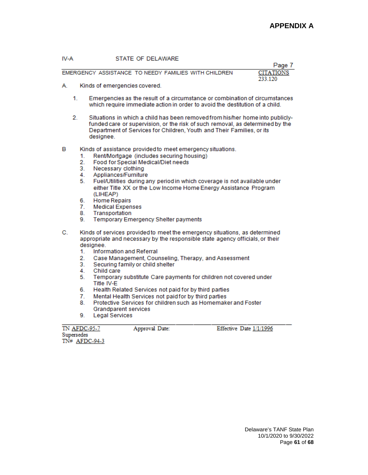#### IV-A STATE OF DELAWARE

|                                                      | Page                        |
|------------------------------------------------------|-----------------------------|
| EMERGENCY ASSISTANCE TO NEEDY FAMILIES WITH CHILDREN | <b>CITATIONS</b><br>233 120 |

- Kinds of emergencies covered. Α.
	- 1. Emergencies as the result of a circumstance or combination of circumstances which require immediate action in order to avoid the destitution of a child.
	- 2. Situations in which a child has been removed from his/her home into publiclyfunded care or supervision, or the risk of such removal, as determined by the Department of Services for Children, Youth and Their Families, or its designee.
- в Kinds of assistance provided to meet emergency situations.
	- Rent/Mortgage (includes securing housing) 1.
	- Food for Special Medical/Diet needs 2.
	- $3.$ Necessary clothing
	- Appliances/Furniture 4.
	- 5. Fuel/Utilities during any period in which coverage is not available under either Title XX or the Low Income Home Energy Assistance Program (LIHEAP)
	- 6. **Home Repairs**
	- **Medical Expenses** 7.
	- 8. Transportation
	- Temporary Emergency Shelter payments 9.
- С. Kinds of services provided to meet the emergency situations, as determined appropriate and necessary by the responsible state agency officials, or their designee.
	- 1. Information and Referral
	- $2.$ Case Management, Counseling, Therapy, and Assessment
	- 3. Securing family or child shelter
	- Child care 4.
	- 5. Temporary substitute Care payments for children not covered under Title IV-E
	- 6. Health Related Services not paid for by third parties
	- Mental Health Services not paid for by third parties 7.
	- 8. Protective Services for children such as Homemaker and Foster **Grandparent services**
	- 9. Legal Services

**TN AFDC-95-7** Supersedes TN# AFDC-94-3 Approval Date:

Effective Date 1/1/1996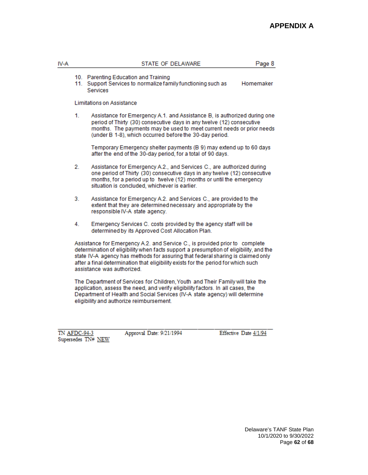#### STATE OF DELAWARE

Page 8

- 10. Parenting Education and Training
- 11. Support Services to normalize family functioning such as Homemaker Services

**Limitations on Assistance** 

1. Assistance for Emergency A.1, and Assistance B, is authorized during one period of Thirty (30) consecutive days in any twelve (12) consecutive months. The payments may be used to meet current needs or prior needs (under B 1-8), which occurred before the 30-day period.

Temporary Emergency shelter payments (B 9) may extend up to 60 days after the end of the 30-day period, for a total of 90 days.

- $2<sup>2</sup>$ Assistance for Emergency A.2., and Services C., are authorized during one period of Thirty (30) consecutive days in any twelve (12) consecutive months, for a period up to twelve (12) months or until the emergency situation is concluded, whichever is earlier.
- 3. Assistance for Emergency A.2. and Services C., are provided to the extent that they are determined necessary and appropriate by the responsible IV-A state agency.
- 4. Emergency Services C. costs provided by the agency staff will be determined by its Approved Cost Allocation Plan.

Assistance for Emergency A.2. and Service C., is provided prior to complete determination of eligibility when facts support a presumption of eligibility, and the state IV-A agency has methods for assuring that federal sharing is claimed only after a final determination that eligibility exists for the period for which such assistance was authorized.

The Department of Services for Children, Youth and Their Family will take the application, assess the need, and verify eligibility factors. In all cases, the Department of Health and Social Services (IV-A state agency) will determine eligibility and authorize reimbursement.

TN AFDC-94-3 Supersedes TN# NEW Approval Date: 9/21/1994

Effective Date 4/1/94

IV-A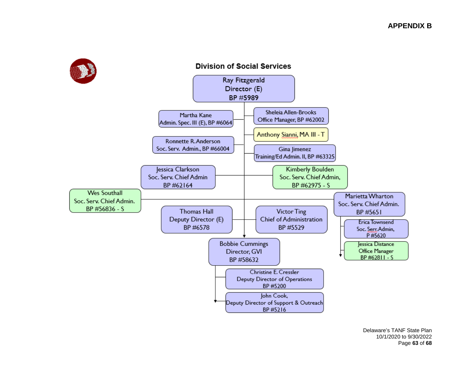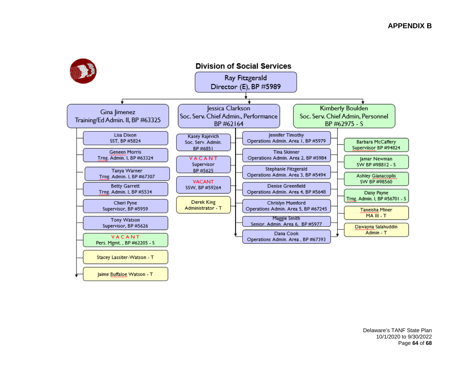

Delaware's TANF State Plan 10/1/2020 to 9/30/2022 Page **64** of **68**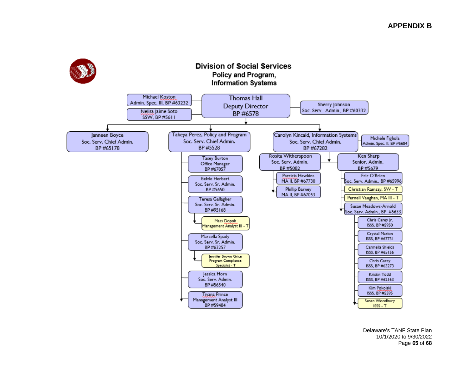

Delaware's TANF State Plan 10/1/2020 to 9/30/2022 Page **65** of **68**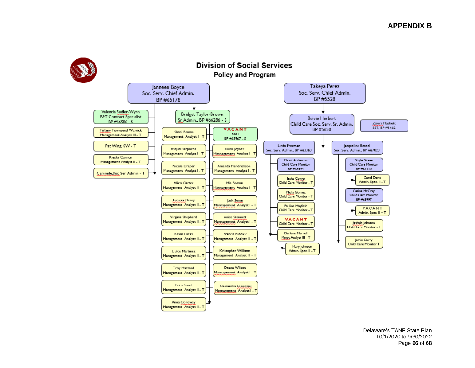

Delaware's TANF State Plan 10/1/2020 to 9/30/2022 Page **66** of **68**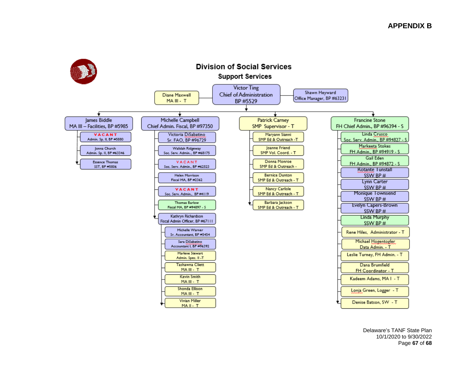

Delaware's TANF State Plan 10/1/2020 to 9/30/2022 Page **67** of **68**